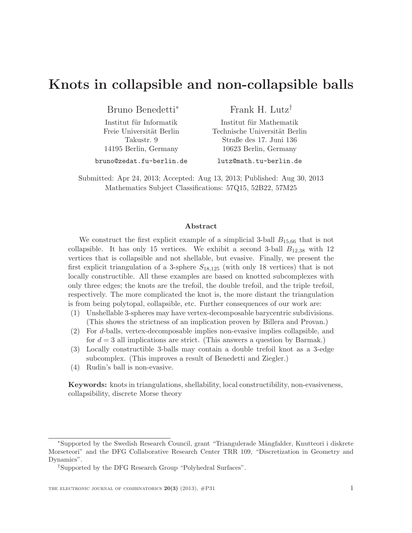# Knots in collapsible and non-collapsible balls

Bruno Benedetti<sup>∗</sup>

Institut für Informatik Freie Universität Berlin Takustr. 9 14195 Berlin, Germany

Frank H. Lutz†

Institut für Mathematik Technische Universität Berlin Straße des 17. Juni 136 10623 Berlin, Germany

bruno@zedat.fu-berlin.de

lutz@math.tu-berlin.de

Submitted: Apr 24, 2013; Accepted: Aug 13, 2013; Published: Aug 30, 2013 Mathematics Subject Classifications: 57Q15, 52B22, 57M25

#### Abstract

We construct the first explicit example of a simplicial 3-ball  $B_{15,66}$  that is not collapsible. It has only 15 vertices. We exhibit a second 3-ball  $B_{12,38}$  with 12 vertices that is collapsible and not shellable, but evasive. Finally, we present the first explicit triangulation of a 3-sphere  $S_{18,125}$  (with only 18 vertices) that is not locally constructible. All these examples are based on knotted subcomplexes with only three edges; the knots are the trefoil, the double trefoil, and the triple trefoil, respectively. The more complicated the knot is, the more distant the triangulation is from being polytopal, collapsible, etc. Further consequences of our work are:

- (1) Unshellable 3-spheres may have vertex-decomposable barycentric subdivisions. (This shows the strictness of an implication proven by Billera and Provan.)
- (2) For d-balls, vertex-decomposable implies non-evasive implies collapsible, and for  $d = 3$  all implications are strict. (This answers a question by Barmak.)
- (3) Locally constructible 3-balls may contain a double trefoil knot as a 3-edge subcomplex. (This improves a result of Benedetti and Ziegler.)
- (4) Rudin's ball is non-evasive.

Keywords: knots in triangulations, shellability, local constructibility, non-evasiveness, collapsibility, discrete Morse theory

<sup>∗</sup>Supported by the Swedish Research Council, grant "Triangulerade M˚angfalder, Knutteori i diskrete Morseteori" and the DFG Collaborative Research Center TRR 109, "Discretization in Geometry and Dynamics".

<sup>†</sup>Supported by the DFG Research Group "Polyhedral Surfaces".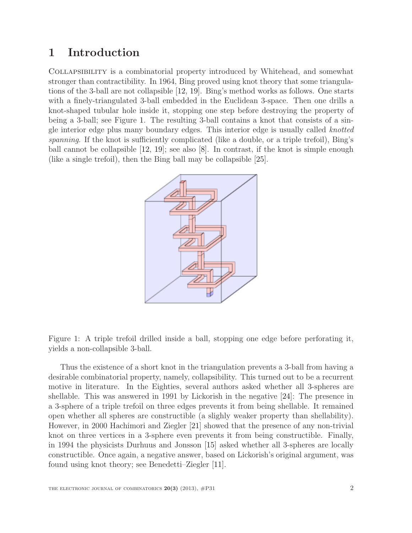## 1 Introduction

Collapsibility is a combinatorial property introduced by Whitehead, and somewhat stronger than contractibility. In 1964, Bing proved using knot theory that some triangulations of the 3-ball are not collapsible [\[12,](#page-27-0) [19\]](#page-27-1). Bing's method works as follows. One starts with a finely-triangulated 3-ball embedded in the Euclidean 3-space. Then one drills a knot-shaped tubular hole inside it, stopping one step before destroying the property of being a 3-ball; see Figure [1.](#page-1-0) The resulting 3-ball contains a knot that consists of a single interior edge plus many boundary edges. This interior edge is usually called knotted spanning. If the knot is sufficiently complicated (like a double, or a triple trefoil), Bing's ball cannot be collapsible [\[12,](#page-27-0) [19\]](#page-27-1); see also [\[8\]](#page-27-2). In contrast, if the knot is simple enough (like a single trefoil), then the Bing ball may be collapsible [\[25\]](#page-28-0).



<span id="page-1-0"></span>Figure 1: A triple trefoil drilled inside a ball, stopping one edge before perforating it, yields a non-collapsible 3-ball.

Thus the existence of a short knot in the triangulation prevents a 3-ball from having a desirable combinatorial property, namely, collapsibility. This turned out to be a recurrent motive in literature. In the Eighties, several authors asked whether all 3-spheres are shellable. This was answered in 1991 by Lickorish in the negative [\[24\]](#page-28-1): The presence in a 3-sphere of a triple trefoil on three edges prevents it from being shellable. It remained open whether all spheres are constructible (a slighly weaker property than shellability). However, in 2000 Hachimori and Ziegler [\[21\]](#page-27-3) showed that the presence of any non-trivial knot on three vertices in a 3-sphere even prevents it from being constructible. Finally, in 1994 the physicists Durhuus and Jonsson [\[15\]](#page-27-4) asked whether all 3-spheres are locally constructible. Once again, a negative answer, based on Lickorish's original argument, was found using knot theory; see Benedetti–Ziegler [\[11\]](#page-27-5).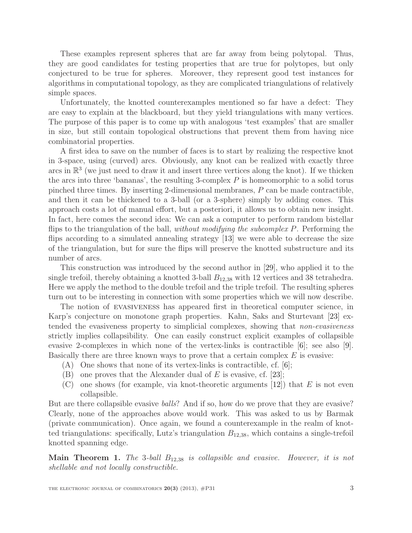These examples represent spheres that are far away from being polytopal. Thus, they are good candidates for testing properties that are true for polytopes, but only conjectured to be true for spheres. Moreover, they represent good test instances for algorithms in computational topology, as they are complicated triangulations of relatively simple spaces.

Unfortunately, the knotted counterexamples mentioned so far have a defect: They are easy to explain at the blackboard, but they yield triangulations with many vertices. The purpose of this paper is to come up with analogous 'test examples' that are smaller in size, but still contain topological obstructions that prevent them from having nice combinatorial properties.

A first idea to save on the number of faces is to start by realizing the respective knot in 3-space, using (curved) arcs. Obviously, any knot can be realized with exactly three arcs in  $\mathbb{R}^3$  (we just need to draw it and insert three vertices along the knot). If we thicken the arcs into three 'bananas', the resulting 3-complex  $P$  is homeomorphic to a solid torus pinched three times. By inserting 2-dimensional membranes, P can be made contractible, and then it can be thickened to a 3-ball (or a 3-sphere) simply by adding cones. This approach costs a lot of manual effort, but a posteriori, it allows us to obtain new insight. In fact, here comes the second idea: We can ask a computer to perform random bistellar flips to the triangulation of the ball, *without modifying the subcomplex P*. Performing the flips according to a simulated annealing strategy [\[13\]](#page-27-6) we were able to decrease the size of the triangulation, but for sure the flips will preserve the knotted substructure and its number of arcs.

This construction was introduced by the second author in [\[29\]](#page-28-2), who applied it to the single trefoil, thereby obtaining a knotted 3-ball  $B_{12,38}$  with 12 vertices and 38 tetrahedra. Here we apply the method to the double trefoil and the triple trefoil. The resulting spheres turn out to be interesting in connection with some properties which we will now describe.

The notion of evasiveness has appeared first in theoretical computer science, in Karp's conjecture on monotone graph properties. Kahn, Saks and Sturtevant [\[23\]](#page-27-7) extended the evasiveness property to simplicial complexes, showing that non-evasiveness strictly implies collapsibility. One can easily construct explicit examples of collapsible evasive 2-complexes in which none of the vertex-links is contractible [\[6\]](#page-27-8); see also [\[9\]](#page-27-9). Basically there are three known ways to prove that a certain complex  $E$  is evasive:

- (A) One shows that none of its vertex-links is contractible, cf. [\[6\]](#page-27-8);
- (B) one proves that the Alexander dual of E is evasive, cf. [\[23\]](#page-27-7);
- (C) one shows (for example, via knot-theoretic arguments  $[12]$ ) that E is not even collapsible.

But are there collapsible evasive balls? And if so, how do we prove that they are evasive? Clearly, none of the approaches above would work. This was asked to us by Barmak (private communication). Once again, we found a counterexample in the realm of knotted triangulations: specifically, Lutz's triangulation  $B_{12,38}$ , which contains a single-trefoil knotted spanning edge.

<span id="page-2-0"></span>**Main Theorem 1.** The 3-ball  $B_{12,38}$  is collapsible and evasive. However, it is not shellable and not locally constructible.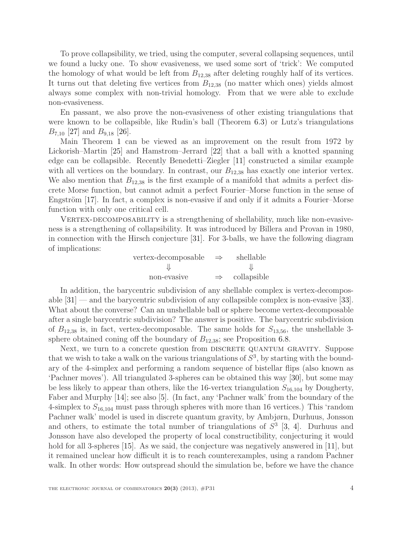To prove collapsibility, we tried, using the computer, several collapsing sequences, until we found a lucky one. To show evasiveness, we used some sort of 'trick': We computed the homology of what would be left from  $B_{12,38}$  after deleting roughly half of its vertices. It turns out that deleting five vertices from  $B_{12,38}$  (no matter which ones) yields almost always some complex with non-trivial homology. From that we were able to exclude non-evasiveness.

En passant, we also prove the non-evasiveness of other existing triangulations that were known to be collapsible, like Rudin's ball (Theorem [6.3\)](#page-22-0) or Lutz's triangulations  $B_{7,10}$  [\[27\]](#page-28-3) and  $B_{9,18}$  [\[26\]](#page-28-4).

Main Theorem [1](#page-2-0) can be viewed as an improvement on the result from 1972 by Lickorish–Martin [\[25\]](#page-28-0) and Hamstrom–Jerrard [\[22\]](#page-27-10) that a ball with a knotted spanning edge can be collapsible. Recently Benedetti–Ziegler [\[11\]](#page-27-5) constructed a similar example with all vertices on the boundary. In contrast, our  $B_{12,38}$  has exactly one interior vertex. We also mention that  $B_{12,38}$  is the first example of a manifold that admits a perfect discrete Morse function, but cannot admit a perfect Fourier–Morse function in the sense of Engström  $[17]$ . In fact, a complex is non-evasive if and only if it admits a Fourier–Morse function with only one critical cell.

VERTEX-DECOMPOSABILITY is a strengthening of shellability, much like non-evasiveness is a strengthening of collapsibility. It was introduced by Billera and Provan in 1980, in connection with the Hirsch conjecture [\[31\]](#page-28-5). For 3-balls, we have the following diagram of implications:

| vertex-decomposable | $\Rightarrow$ | shellable   |
|---------------------|---------------|-------------|
|                     |               |             |
| non-evasive         | $\Rightarrow$ | collapsible |

In addition, the barycentric subdivision of any shellable complex is vertex-decomposable  $|31|$  — and the barycentric subdivision of any collapsible complex is non-evasive  $|33|$ . What about the converse? Can an unshellable ball or sphere become vertex-decomposable after a single barycentric subdivision? The answer is positive. The barycentric subdivision of  $B_{12,38}$  is, in fact, vertex-decomposable. The same holds for  $S_{13,56}$ , the unshellable 3sphere obtained coning off the boundary of  $B_{12,38}$ ; see Proposition [6.8.](#page-25-0)

Next, we turn to a concrete question from DISCRETE QUANTUM GRAVITY. Suppose that we wish to take a walk on the various triangulations of  $S^3$ , by starting with the boundary of the 4-simplex and performing a random sequence of bistellar flips (also known as 'Pachner moves'). All triangulated 3-spheres can be obtained this way [\[30\]](#page-28-7), but some may be less likely to appear than others, like the 16-vertex triangulation  $S_{16,104}$  by Dougherty, Faber and Murphy [\[14\]](#page-27-12); see also [\[5\]](#page-26-0). (In fact, any 'Pachner walk' from the boundary of the 4-simplex to  $S_{16,104}$  must pass through spheres with more than 16 vertices.) This 'random Pachner walk' model is used in discrete quantum gravity, by Ambjørn, Durhuus, Jonsson and others, to estimate the total number of triangulations of  $S<sup>3</sup>$  [\[3,](#page-26-1) [4\]](#page-26-2). Durhuus and Jonsson have also developed the property of local constructibility, conjecturing it would hold for all 3-spheres [\[15\]](#page-27-4). As we said, the conjecture was negatively answered in [\[11\]](#page-27-5), but it remained unclear how difficult it is to reach counterexamples, using a random Pachner walk. In other words: How outspread should the simulation be, before we have the chance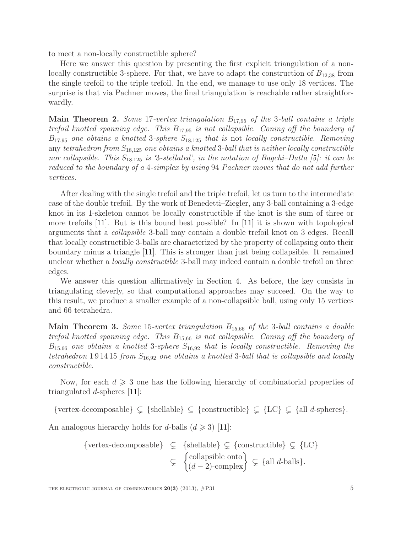to meet a non-locally constructible sphere?

Here we answer this question by presenting the first explicit triangulation of a nonlocally constructible 3-sphere. For that, we have to adapt the construction of  $B_{12,38}$  from the single trefoil to the triple trefoil. In the end, we manage to use only 18 vertices. The surprise is that via Pachner moves, the final triangulation is reachable rather straightforwardly.

**Main Theorem 2.** Some 17-vertex triangulation  $B_{17,95}$  of the 3-ball contains a triple trefoil knotted spanning edge. This  $B_{17,95}$  is not collapsible. Coning off the boundary of  $B_{17,95}$  one obtains a knotted 3-sphere  $S_{18,125}$  that is not locally constructible. Removing any tetrahedron from  $S_{18,125}$  one obtains a knotted 3-ball that is neither locally constructible nor collapsible. This  $S_{18,125}$  is '3-stellated', in the notation of Bagchi–Datta [\[5\]](#page-26-0): it can be reduced to the boundary of a 4-simplex by using 94 Pachner moves that do not add further vertices.

After dealing with the single trefoil and the triple trefoil, let us turn to the intermediate case of the double trefoil. By the work of Benedetti–Ziegler, any 3-ball containing a 3-edge knot in its 1-skeleton cannot be locally constructible if the knot is the sum of three or more trefoils [\[11\]](#page-27-5). But is this bound best possible? In [\[11\]](#page-27-5) it is shown with topological arguments that a collapsible 3-ball may contain a double trefoil knot on 3 edges. Recall that locally constructible 3-balls are characterized by the property of collapsing onto their boundary minus a triangle [\[11\]](#page-27-5). This is stronger than just being collapsible. It remained unclear whether a *locally constructible* 3-ball may indeed contain a double trefoil on three edges.

We answer this question affirmatively in Section [4.](#page-10-0) As before, the key consists in triangulating cleverly, so that computational approaches may succeed. On the way to this result, we produce a smaller example of a non-collapsible ball, using only 15 vertices and 66 tetrahedra.

**Main Theorem 3.** Some 15-vertex triangulation  $B_{15,66}$  of the 3-ball contains a double trefoil knotted spanning edge. This  $B_{15,66}$  is not collapsible. Coning off the boundary of  $B_{15,66}$  one obtains a knotted 3-sphere  $S_{16,92}$  that is locally constructible. Removing the tetrahedron 191415 from  $S_{16,92}$  one obtains a knotted 3-ball that is collapsible and locally constructible.

Now, for each  $d \geqslant 3$  one has the following hierarchy of combinatorial properties of triangulated d-spheres [\[11\]](#page-27-5):

 ${\rm vertex\text{-}decomposable} \subsetneq {\rm (shellable)} \subseteq {\rm (constructible)} \subsetneq {\rm LC} \subsetneq {\rm all \ } d{\rm-\rm spheres}.$ 

An analogous hierarchy holds for d-balls  $(d \geq 3)$  [\[11\]](#page-27-5):

{vertex-decomposable} 
$$
\subsetneq
$$
 {shellable}  $\subsetneq$  {constructible}  $\subsetneq$  {LC}  
 $\subsetneq$  {collapsible onto  $\subsetneq$  {all *d*-balls}.  
 $\subsetneq$  {all *d*-balls}.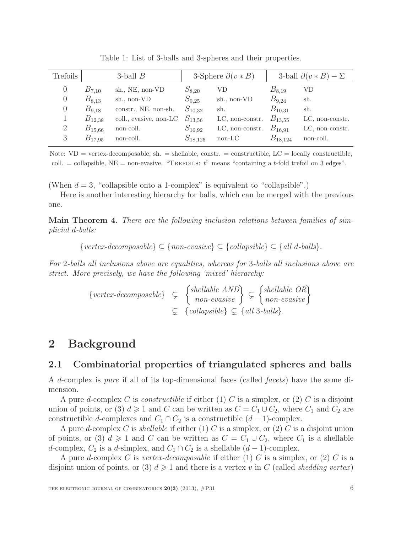| Trefoils | 3-ball $B$  |                        | 3-Sphere $\partial(v * B)$ |                 | 3-ball $\partial(v * B) - \Sigma$ |                 |
|----------|-------------|------------------------|----------------------------|-----------------|-----------------------------------|-----------------|
| O        | $B_{7,10}$  | sh., NE, non-VD        | $S_{8,20}$                 | VD              | $B_{8,19}$                        | VD              |
| $\theta$ | $B_{8,13}$  | sh., non-VD            | $S_{9,25}$                 | sh., non-VD     | $B_{9,24}$                        | sh.             |
| $\theta$ | $B_{9,18}$  | constr., NE, non-sh.   | $S_{10,32}$                | sh.             | $B_{10,31}$                       | sh.             |
|          | $B_{12,38}$ | coll., evasive, non-LC | $S_{13,56}$                | LC, non-constr. | $B_{13,55}$                       | LC, non-constr. |
| 2        | $B_{15,66}$ | non-coll.              | $S_{16,92}$                | LC, non-constr. | $B_{16,91}$                       | LC, non-constr. |
| 3        | $B_{17,95}$ | non-coll.              | $S_{18,125}$               | non-LC          | $B_{18,124}$                      | non-coll.       |

Table 1: List of 3-balls and 3-spheres and their properties.

Note:  $VD = vertex-decomposable, sh. = shellable, constr. = constructible, LC = locally constructible,$ coll.  $=$  collapsible, NE  $=$  non-evasive. "TREFOILS: t" means "containing a t-fold trefoil on 3 edges".

(When  $d = 3$ , "collapsible onto a 1-complex" is equivalent to "collapsible".)

Here is another interesting hierarchy for balls, which can be merged with the previous one.

Main Theorem 4. There are the following inclusion relations between families of simplicial d-balls:

 ${vertex-decomposable} \subseteq {non-evasive} \subseteq {collapsible} \subseteq {all d-balls}.$ 

For 2-balls all inclusions above are equalities, whereas for 3-balls all inclusions above are strict. More precisely, we have the following 'mixed' hierarchy:

$$
\{vertex-decomposable\} \subseteq \left\{\begin{matrix} shellable \ AND \\ non-evasive \end{matrix}\right\} \subseteq \left\{\begin{matrix} shellable \ OR \\ non-evasive \end{matrix}\right\}
$$

$$
\subseteq \left\{collapsible\} \subseteq \left\{all \ 3-balls\right\}.
$$

## 2 Background

#### 2.1 Combinatorial properties of triangulated spheres and balls

A d-complex is pure if all of its top-dimensional faces (called facets) have the same dimension.

A pure d-complex C is *constructible* if either (1) C is a simplex, or (2) C is a disjoint union of points, or (3)  $d \geq 1$  and C can be written as  $C = C_1 \cup C_2$ , where  $C_1$  and  $C_2$  are constructible d-complexes and  $C_1 \cap C_2$  is a constructible  $(d-1)$ -complex.

A pure d-complex C is shellable if either (1) C is a simplex, or (2) C is a disjoint union of points, or (3)  $d \geq 1$  and C can be written as  $C = C_1 \cup C_2$ , where  $C_1$  is a shellable d-complex,  $C_2$  is a d-simplex, and  $C_1 \cap C_2$  is a shellable  $(d-1)$ -complex.

A pure d-complex C is vertex-decomposable if either (1) C is a simplex, or (2) C is a disjoint union of points, or (3)  $d \geq 1$  and there is a vertex v in C (called shedding vertex)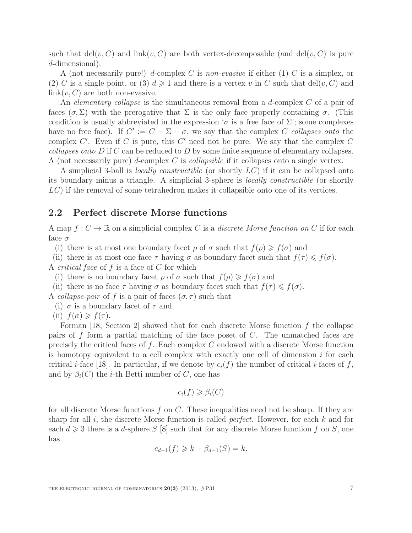such that  $\text{del}(v, C)$  and  $\text{link}(v, C)$  are both vertex-decomposable (and  $\text{del}(v, C)$  is pure d-dimensional).

A (not necessarily pure!) d-complex C is non-evasive if either  $(1)$  C is a simplex, or (2) C is a single point, or (3)  $d \ge 1$  and there is a vertex v in C such that del(v, C) and  $link(v, C)$  are both non-evasive.

An *elementary collapse* is the simultaneous removal from a *d*-complex  $C$  of a pair of faces  $(\sigma, \Sigma)$  with the prerogative that  $\Sigma$  is the only face properly containing  $\sigma$ . (This condition is usually abbreviated in the expression ' $\sigma$  is a free face of  $\Sigma$ '; some complexes have no free face). If  $C' := C - \Sigma - \sigma$ , we say that the complex C collapses onto the complex  $C'$ . Even if C is pure, this  $C'$  need not be pure. We say that the complex  $C$ *collapses onto*  $D$  if  $C$  can be reduced to  $D$  by some finite sequence of elementary collapses. A (not necessarily pure) d-complex C is *collapsible* if it collapses onto a single vertex.

A simplicial 3-ball is *locally constructible* (or shortly  $LC$ ) if it can be collapsed onto its boundary minus a triangle. A simplicial 3-sphere is locally constructible (or shortly LC) if the removal of some tetrahedron makes it collapsible onto one of its vertices.

#### 2.2 Perfect discrete Morse functions

A map  $f: C \to \mathbb{R}$  on a simplicial complex C is a discrete Morse function on C if for each face  $\sigma$ 

(i) there is at most one boundary facet  $\rho$  of  $\sigma$  such that  $f(\rho) \geq f(\sigma)$  and

(ii) there is at most one face  $\tau$  having  $\sigma$  as boundary facet such that  $f(\tau) \leq f(\sigma)$ . A *critical face* of  $f$  is a face of  $C$  for which

(i) there is no boundary facet  $\rho$  of  $\sigma$  such that  $f(\rho) \geq f(\sigma)$  and

(ii) there is no face  $\tau$  having  $\sigma$  as boundary facet such that  $f(\tau) \leq f(\sigma)$ .

A collapse-pair of f is a pair of faces  $(\sigma, \tau)$  such that

(i)  $\sigma$  is a boundary facet of  $\tau$  and

(ii) 
$$
f(\sigma) \geq f(\tau)
$$
.

Forman [\[18,](#page-27-13) Section 2] showed that for each discrete Morse function  $f$  the collapse pairs of f form a partial matching of the face poset of C. The unmatched faces are precisely the critical faces of f. Each complex C endowed with a discrete Morse function is homotopy equivalent to a cell complex with exactly one cell of dimension  $i$  for each critical *i*-face [\[18\]](#page-27-13). In particular, if we denote by  $c_i(f)$  the number of critical *i*-faces of f, and by  $\beta_i(C)$  the *i*-th Betti number of C, one has

$$
c_i(f) \geq \beta_i(C)
$$

for all discrete Morse functions  $f$  on  $C$ . These inequalities need not be sharp. If they are sharp for all  $i$ , the discrete Morse function is called *perfect*. However, for each  $k$  and for each  $d \geq 3$  there is a d-sphere S [\[8\]](#page-27-2) such that for any discrete Morse function f on S, one has

$$
c_{d-1}(f) \geq k + \beta_{d-1}(S) = k.
$$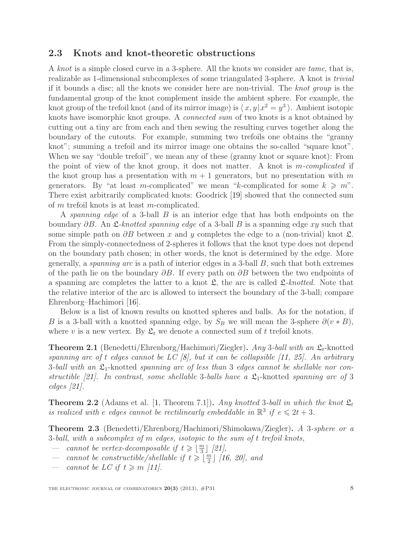#### 2.3 Knots and knot-theoretic obstructions

A knot is a simple closed curve in a 3-sphere. All the knots we consider are tame, that is, realizable as 1-dimensional subcomplexes of some triangulated 3-sphere. A knot is trivial if it bounds a disc; all the knots we consider here are non-trivial. The knot group is the fundamental group of the knot complement inside the ambient sphere. For example, the knot group of the trefoil knot (and of its mirror image) is  $\langle x, y | x^2 = y^3 \rangle$ . Ambient isotopic knots have isomorphic knot groups. A connected sum of two knots is a knot obtained by cutting out a tiny arc from each and then sewing the resulting curves together along the boundary of the cutouts. For example, summing two trefoils one obtains the "granny knot"; summing a trefoil and its mirror image one obtains the so-called "square knot". When we say "double trefoil", we mean any of these (granny knot or square knot): From the point of view of the knot group, it does not matter. A knot is  $m$ -complicated if the knot group has a presentation with  $m + 1$  generators, but no presentation with m generators. By "at least m-complicated" we mean "k-complicated for some  $k \geq m$ ". There exist arbitrarily complicated knots: Goodrick [\[19\]](#page-27-1) showed that the connected sum of m trefoil knots is at least m-complicated.

A spanning edge of a 3-ball  $B$  is an interior edge that has both endpoints on the boundary  $\partial B$ . An  $\mathfrak{L}\text{-}knotted spanning edge$  of a 3-ball B is a spanning edge xy such that some simple path on  $\partial B$  between x and y completes the edge to a (non-trivial) knot  $\mathfrak{L}$ . From the simply-connectedness of 2-spheres it follows that the knot type does not depend on the boundary path chosen; in other words, the knot is determined by the edge. More generally, a *spanning arc* is a path of interior edges in a 3-ball  $B$ , such that both extremes of the path lie on the boundary  $\partial B$ . If every path on  $\partial B$  between the two endpoints of a spanning arc completes the latter to a knot  $\mathfrak{L}$ , the arc is called  $\mathfrak{L}\text{-}knotted$ . Note that the relative interior of the arc is allowed to intersect the boundary of the 3-ball; compare Ehrenborg–Hachimori [\[16\]](#page-27-14).

Below is a list of known results on knotted spheres and balls. As for the notation, if B is a 3-ball with a knotted spanning edge, by  $S_B$  we will mean the 3-sphere  $\partial(v * B)$ , where v is a new vertex. By  $\mathfrak{L}_t$  we denote a connected sum of t trefoil knots.

<span id="page-7-0"></span>**Theorem 2.1** (Benedetti/Ehrenborg/Hachimori/Ziegler). Any 3-ball with an  $\mathfrak{L}_t$ -knotted spanning arc of t edges cannot be  $LC$  [\[8\]](#page-27-2), but it can be collapsible [\[11,](#page-27-5) [25\]](#page-28-0). An arbitrary 3-ball with an  $\mathfrak{L}_1$ -knotted spanning arc of less than 3 edges cannot be shellable nor con-structible [\[21\]](#page-27-3). In contrast, some shellable 3-balls have a  $\mathfrak{L}_1$ -knotted spanning arc of 3 edges [\[21\]](#page-27-3).

<span id="page-7-1"></span>**Theorem 2.2** (Adams et al. [\[1,](#page-26-3) Theorem 7.1]). Any knotted 3-ball in which the knot  $\mathfrak{L}_t$ is realized with e edges cannot be rectilinearly embeddable in  $\mathbb{R}^3$  if  $e \leq 2t + 3$ .

Theorem 2.3 (Benedetti/Ehrenborg/Hachimori/Shimokawa/Ziegler). A 3-sphere or a 3-ball, with a subcomplex of m edges, isotopic to the sum of t trefoil knots,

- cannot be vertex-decomposable if  $t \geqslant \lfloor \frac{m}{3} \rfloor$  $\frac{n}{3}$ ] [\[21\]](#page-27-3),
- cannot be constructible/shellable if  $t \geq \lfloor \frac{m}{2} \rfloor$  $\frac{m}{2}$ ] [\[16,](#page-27-14) [20\]](#page-27-15), and
- cannot be LC if  $t \geq m$  [\[11\]](#page-27-5).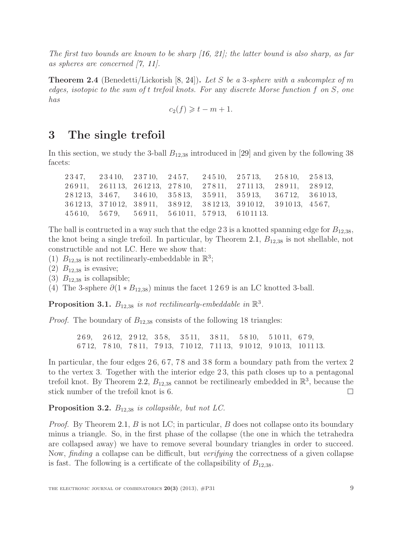The first two bounds are known to be sharp  $(16, 21)$ ; the latter bound is also sharp, as far as spheres are concerned [\[7,](#page-27-16) [11\]](#page-27-5).

**Theorem 2.4** (Benedetti/Lickorish [\[8,](#page-27-2) [24\]](#page-28-1)). Let S be a 3-sphere with a subcomplex of m edges, isotopic to the sum of t trefoil knots. For any discrete Morse function f on  $S$ , one has

 $c_2(f) \geqslant t - m + 1$ .

## 3 The single trefoil

In this section, we study the 3-ball  $B_{12,38}$  introduced in [\[29\]](#page-28-2) and given by the following 38 facets:

2 3 4 7, 2 3 4 10, 2 3 7 10, 2 4 5 7, 2 4 5 10, 2 5 7 13, 2 5 8 10, 2 5 8 13, 2 6 9 11, 2 6 11 13, 2 6 12 13, 2 7 8 10, 2 7 8 11, 2 7 11 13, 2 8 9 11, 2 8 9 12, 2 8 12 13, 3 4 6 7, 3 4 6 10, 3 5 8 13, 3 5 9 11, 3 5 9 13, 3 6 7 12, 3 6 10 13, 3 6 12 13, 3 7 10 12, 3 8 9 11, 3 8 9 12, 3 8 12 13, 3 9 10 12, 3 9 10 13, 4 5 6 7, 4 5 6 10, 5 6 7 9, 5 6 9 11, 5 6 10 11, 5 7 9 13, 6 10 11 13.

The ball is contructed in a way such that the edge 23 is a knotted spanning edge for  $B_{12,38}$ , the knot being a single trefoil. In particular, by Theorem [2.1,](#page-7-0)  $B_{12,38}$  is not shellable, not constructible and not LC. Here we show that:

(1)  $B_{12,38}$  is not rectilinearly-embeddable in  $\mathbb{R}^3$ ;

- (2)  $B_{12,38}$  is evasive;
- (3)  $B_{12,38}$  is collapsible;

(4) The 3-sphere  $\partial(1 * B_{12,38})$  minus the facet 1269 is an LC knotted 3-ball.

**Proposition 3.1.**  $B_{12,38}$  is not rectilinearly-embeddable in  $\mathbb{R}^3$ .

*Proof.* The boundary of  $B_{12,38}$  consists of the following 18 triangles:

2 6 9, 2 6 12, 2 9 12, 3 5 8, 3 5 11, 3 8 11, 5 8 10, 5 10 11, 6 7 9, 6 7 12, 7 8 10, 7 8 11, 7 9 13, 7 10 12, 7 11 13, 9 10 12, 9 10 13, 10 11 13.

In particular, the four edges 26, 67, 78 and 38 form a boundary path from the vertex 2 to the vertex 3. Together with the interior edge 2 3, this path closes up to a pentagonal trefoil knot. By Theorem [2.2,](#page-7-1)  $B_{12,38}$  cannot be rectilinearly embedded in  $\mathbb{R}^3$ , because the stick number of the trefoil knot is 6.  $\Box$ 

**Proposition 3.2.**  $B_{12,38}$  is collapsible, but not LC.

*Proof.* By Theorem [2.1,](#page-7-0) B is not LC; in particular, B does not collapse onto its boundary minus a triangle. So, in the first phase of the collapse (the one in which the tetrahedra are collapsed away) we have to remove several boundary triangles in order to succeed. Now, finding a collapse can be difficult, but verifying the correctness of a given collapse is fast. The following is a certificate of the collapsibility of  $B_{12,38}$ .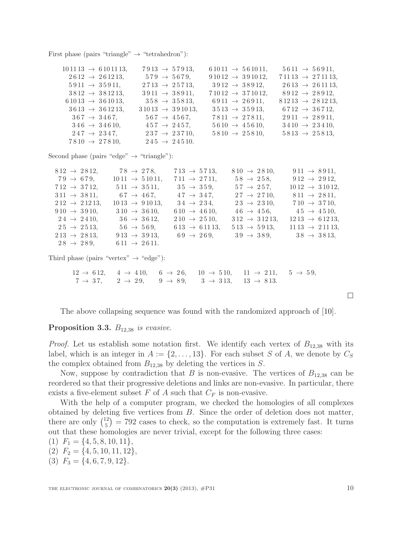First phase (pairs "triangle"  $\rightarrow$  "tetrahedron"):

| $101113 \rightarrow 6101113$ , | $7913 \rightarrow 57913$ ,   | $61011 \rightarrow 561011,$  | $5611 \rightarrow 56911$ ,   |
|--------------------------------|------------------------------|------------------------------|------------------------------|
| $2612 \rightarrow 261213$ ,    | $579 \rightarrow 5679$ ,     | $91012 \rightarrow 391012$ , | $71113 \rightarrow 271113$ , |
| $5911 \rightarrow 35911$ ,     | $2713 \rightarrow 25713$ ,   | $3912 \rightarrow 38912$ ,   | $2613 \rightarrow 261113$ ,  |
| $3812 \rightarrow 381213$ ,    | $3911 \rightarrow 38911$ ,   | $71012 \rightarrow 371012$ , | $8912 \rightarrow 28912$ ,   |
| $61013 \rightarrow 361013$ ,   | $358 \rightarrow 35813$ ,    | $6911 \rightarrow 26911$ ,   | $81213 \rightarrow 281213$ , |
| $3613 \rightarrow 361213$ .    | $31013 \rightarrow 391013$ , | $3513 \rightarrow 35913,$    | $6712 \rightarrow 36712$ ,   |
| $367 \rightarrow 3467$ ,       | $567 \rightarrow 4567$ ,     | $7811 \rightarrow 27811,$    | $2911 \rightarrow 28911,$    |
| $346 \rightarrow 34610.$       | $457 \rightarrow 2457$ ,     | $5610 \rightarrow 45610.$    | $3410 \rightarrow 23410.$    |
| $247 \rightarrow 2347$ ,       | $237 \rightarrow 23710$ ,    | $5810 \rightarrow 25810,$    | $5813 \rightarrow 25813$ ,   |
| $7810 \rightarrow 27810,$      | $245 \rightarrow 24510.$     |                              |                              |
|                                |                              |                              |                              |

Second phase (pairs "edge"  $\rightarrow$  "triangle"):

| $812 \rightarrow 2812$ ,  | $78 \rightarrow 278$ ,     | $713 \rightarrow 5713$ ,  | $810 \rightarrow 2810,$   | $911 \rightarrow 8911$ ,        |
|---------------------------|----------------------------|---------------------------|---------------------------|---------------------------------|
| $79 \rightarrow 679$ ,    | $1011 \rightarrow 51011$ , | $711 \rightarrow 2711,$   | $58 \to 258$ ,            | $912 \rightarrow 2912$ ,        |
| $712 \rightarrow 3712,$   | $511 \rightarrow 3511,$    | $35 \to 359$ ,            | $57 \to 257$ .            | $1012 \rightarrow 31012$ ,      |
| $311 \rightarrow 3811$ ,  | $67 \to 467$ ,             | $47 \rightarrow 347$ ,    | $27 \rightarrow 2710$ ,   | $811 \rightarrow 2811$ ,        |
| $212 \rightarrow 21213$ , | $1013 \rightarrow 91013$ , | $34 \to 234$ ,            | $23 \rightarrow 2310,$    | $710 \rightarrow 3710,$         |
| $910 \rightarrow 3910,$   | $310 \rightarrow 3610,$    | $610 \rightarrow 4610,$   | $46 \to 456$ ,            | $45 \to 4510,$                  |
| $24 \rightarrow 2410$ ,   | $36 \rightarrow 3612,$     | $210 \rightarrow 2510$ ,  | $312 \rightarrow 31213$ , | $1213 \rightarrow 61213$ ,      |
| $25 \rightarrow 2513$ .   | $56 \to 569$ ,             | $613 \rightarrow 61113$ , | $513 \rightarrow 5913.$   | $11\,13 \rightarrow 2\,11\,13,$ |
| $213 \rightarrow 2813$ ,  | $913 \rightarrow 3913,$    | $69 \rightarrow 269$      | $39 \rightarrow 389$ ,    | $38 \rightarrow 3813$           |
| $28 \rightarrow 289$ ,    | $611 \rightarrow 2611.$    |                           |                           |                                 |

Third phase (pairs "vertex"  $\rightarrow$  "edge"):

 $12 \rightarrow 612$ ,  $4 \rightarrow 410$ ,  $6 \rightarrow 26$ ,  $10 \rightarrow 510$ ,  $11 \rightarrow 211$ ,  $5 \rightarrow 59$ ,  $7 \to 37$ ,  $2 \to 29$ ,  $9 \to 89$ ,  $3 \to 313$ ,  $13 \to 813$ .

The above collapsing sequence was found with the randomized approach of [\[10\]](#page-27-17).

#### **Proposition 3.3.**  $B_{12,38}$  is evasive.

*Proof.* Let us establish some notation first. We identify each vertex of  $B_{12,38}$  with its label, which is an integer in  $A := \{2, \ldots, 13\}$ . For each subset S of A, we denote by  $C_S$ the complex obtained from  $B_{12,38}$  by deleting the vertices in S.

Now, suppose by contradiction that B is non-evasive. The vertices of  $B_{12,38}$  can be reordered so that their progressive deletions and links are non-evasive. In particular, there exists a five-element subset  $F$  of  $A$  such that  $C_F$  is non-evasive.

With the help of a computer program, we checked the homologies of all complexes obtained by deleting five vertices from B. Since the order of deletion does not matter, there are only  $\binom{12}{5}$  $\binom{12}{5}$  = 792 cases to check, so the computation is extremely fast. It turns out that these homologies are never trivial, except for the following three cases:

 $(1)$   $F_1 = \{4, 5, 8, 10, 11\},\$ (2)  $F_2 = \{4, 5, 10, 11, 12\},\$ 

(3)  $F_3 = \{4, 6, 7, 9, 12\}.$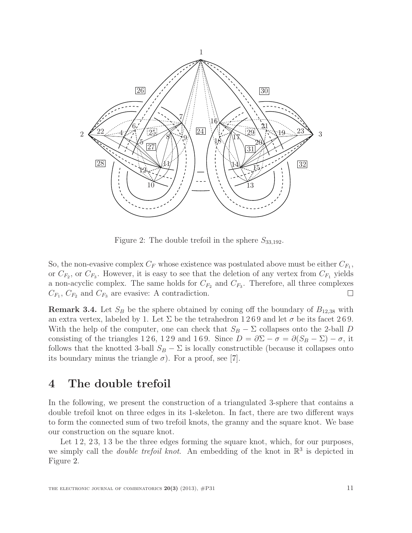

<span id="page-10-1"></span>Figure 2: The double trefoil in the sphere  $S_{33,192}$ .

So, the non-evasive complex  $C_F$  whose existence was postulated above must be either  $C_{F_1}$ , or  $C_{F_2}$ , or  $C_{F_3}$ . However, it is easy to see that the deletion of any vertex from  $C_{F_1}$  yields a non-acyclic complex. The same holds for  $C_{F_2}$  and  $C_{F_3}$ . Therefore, all three complexes  $C_{F_1}, C_{F_2}$  and  $C_{F_3}$  are evasive: A contradiction.

**Remark 3.4.** Let  $S_B$  be the sphere obtained by coning off the boundary of  $B_{12,38}$  with an extra vertex, labeled by 1. Let  $\Sigma$  be the tetrahedron 1269 and let  $\sigma$  be its facet 269. With the help of the computer, one can check that  $S_B - \Sigma$  collapses onto the 2-ball D consisting of the triangles 126, 129 and 169. Since  $D = \partial \Sigma - \sigma = \partial (S_B - \Sigma) - \sigma$ , it follows that the knotted 3-ball  $S_B - \Sigma$  is locally constructible (because it collapses onto its boundary minus the triangle  $\sigma$ ). For a proof, see [\[7\]](#page-27-16).

## <span id="page-10-0"></span>4 The double trefoil

In the following, we present the construction of a triangulated 3-sphere that contains a double trefoil knot on three edges in its 1-skeleton. In fact, there are two different ways to form the connected sum of two trefoil knots, the granny and the square knot. We base our construction on the square knot.

Let 12, 23, 13 be the three edges forming the square knot, which, for our purposes, we simply call the *double trefoil knot*. An embedding of the knot in  $\mathbb{R}^3$  is depicted in Figure [2.](#page-10-1)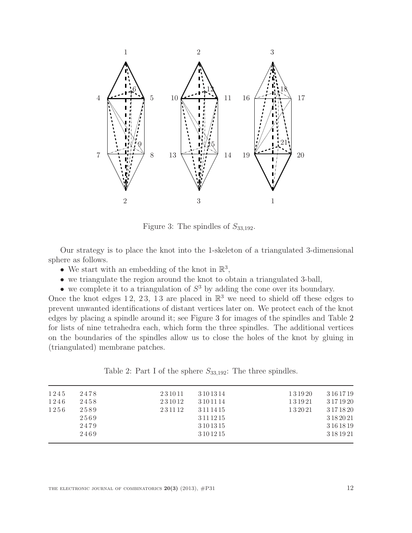

<span id="page-11-0"></span>Figure 3: The spindles of  $S_{33,192}$ .

Our strategy is to place the knot into the 1-skeleton of a triangulated 3-dimensional sphere as follows.

- We start with an embedding of the knot in  $\mathbb{R}^3$ ,
- we triangulate the region around the knot to obtain a triangulated 3-ball,
- we complete it to a triangulation of  $S<sup>3</sup>$  by adding the cone over its boundary.

Once the knot edges 12, 23, 13 are placed in  $\mathbb{R}^3$  we need to shield off these edges to prevent unwanted identifications of distant vertices later on. We protect each of the knot edges by placing a spindle around it; see Figure [3](#page-11-0) for images of the spindles and Table [2](#page-11-1) for lists of nine tetrahedra each, which form the three spindles. The additional vertices on the boundaries of the spindles allow us to close the holes of the knot by gluing in (triangulated) membrane patches.

<span id="page-11-1"></span>Table 2: Part I of the sphere  $S_{33,192}$ : The three spindles.

| 1245 | 2478 | 231011 | 3 10 13 14 | 131920 | 3 16 17 19 |
|------|------|--------|------------|--------|------------|
| 1246 | 2458 | 231012 | 3 10 11 14 | 131921 | 3 17 19 20 |
| 1256 | 2589 | 231112 | 3 11 14 15 | 132021 | 3 17 18 20 |
|      | 2569 |        | 3 11 12 15 |        | 3 18 20 21 |
|      | 2479 |        | 3 10 13 15 |        | 3 16 18 19 |
|      | 2469 |        | 3 10 12 15 |        | 3 18 19 21 |
|      |      |        |            |        |            |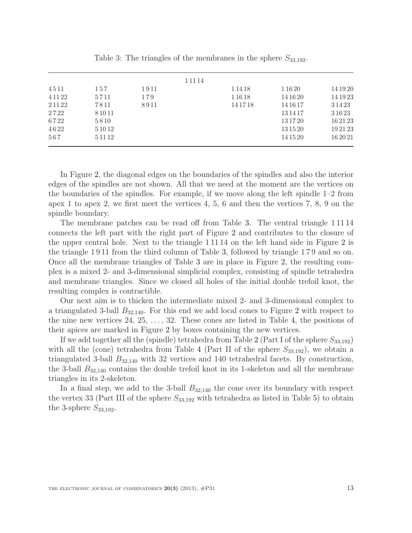|           |           |      | 1 1 1 1 4 |           |          |           |
|-----------|-----------|------|-----------|-----------|----------|-----------|
| 4511      | 157       | 1911 |           | 1 1 4 1 8 | 1 16 20  | 14 19 20  |
| 4 1 1 2 2 | 5711      | 179  |           | 1 1 6 1 8 | 14 16 20 | 14 19 23  |
| 2 1 1 2 2 | 7811      | 8911 |           | 14 17 18  | 14 16 17 | 3 1 4 2 3 |
| 2722      | 8 10 11   |      |           |           | 13 14 17 | 3 16 23   |
| 6722      | 5810      |      |           |           | 13 17 20 | 162123    |
| 4622      | 5 10 12   |      |           |           | 13 15 20 | 192123    |
| 567       | 5 1 1 1 2 |      |           |           | 14 15 20 | 16 20 21  |

<span id="page-12-0"></span>Table 3: The triangles of the membranes in the sphere  $S_{33,192}$ .

In Figure [2,](#page-10-1) the diagonal edges on the boundaries of the spindles and also the interior edges of the spindles are not shown. All that we need at the moment are the vertices on the boundaries of the spindles. For example, if we move along the left spindle 1–2 from apex 1 to apex 2, we first meet the vertices 4, 5, 6 and then the vertices 7, 8, 9 on the spindle boundary.

The membrane patches can be read off from Table [3.](#page-12-0) The central triangle 1 11 14 connects the left part with the right part of Figure [2](#page-10-1) and contributes to the closure of the upper central hole. Next to the triangle 1 11 14 on the left hand side in Figure [2](#page-10-1) is the triangle 1 9 11 from the third column of Table [3,](#page-12-0) followed by triangle 1 7 9 and so on. Once all the membrane triangles of Table [3](#page-12-0) are in place in Figure [2,](#page-10-1) the resulting complex is a mixed 2- and 3-dimensional simplicial complex, consisting of spindle tetrahedra and membrane triangles. Since we closed all holes of the initial double trefoil knot, the resulting complex is contractible.

Our next aim is to thicken the intermediate mixed 2- and 3-dimensional complex to a triangulated 3-ball  $B_{32,140}$  $B_{32,140}$  $B_{32,140}$ . For this end we add local cones to Figure 2 with respect to the nine new vertices 24, 25, . . . , 32. These cones are listed in Table [4,](#page-13-0) the positions of their apices are marked in Figure [2](#page-10-1) by boxes containing the new vertices.

If we add together all the (spindle) tetrahedra from Table [2](#page-11-1) (Part I of the sphere  $S_{33,192}$ ) with all the (cone) tetrahedra from Table [4](#page-13-0) (Part II of the sphere  $S_{33,192}$ ), we obtain a triangulated 3-ball  $B_{32,140}$  with 32 vertices and 140 tetrahedral facets. By construction, the 3-ball  $B_{32,140}$  contains the double trefoil knot in its 1-skeleton and all the membrane triangles in its 2-skeleton.

In a final step, we add to the 3-ball  $B_{32,140}$  the cone over its boundary with respect the vertex 33 (Part III of the sphere  $S_{33,192}$  with tetrahedra as listed in Table [5\)](#page-14-0) to obtain the 3-sphere  $S_{33,192}$ .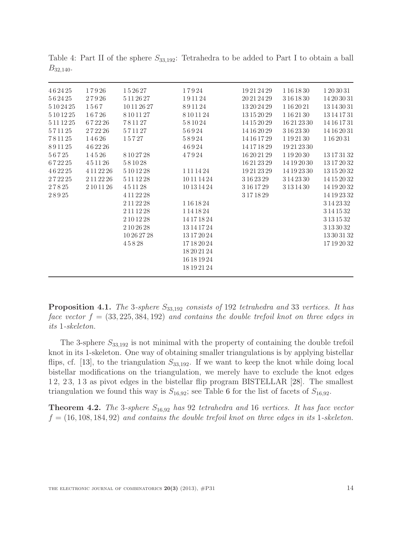| 462425     | 17926      | 152627      | 17924         | 19 21 24 29 | 1 16 18 30    | 1203031     |
|------------|------------|-------------|---------------|-------------|---------------|-------------|
| 562425     | 27926      | 5 11 26 27  | 191124        | 20 21 24 29 | 3 16 18 30    | 14 20 30 31 |
| 5 10 24 25 | 1567       | 10 11 26 27 | 891124        | 13 20 24 29 | 1 16 20 21    | 13 14 30 31 |
| 5 10 12 25 | 16726      | 8101127     | 8 10 11 24    | 13 15 20 29 | 1 16 21 30    | 13 14 17 31 |
| 5 11 12 25 | 672226     | 781127      | 581024        | 14 15 20 29 | 16 21 23 30   | 14 16 17 31 |
| 571125     | 272226     | 571127      | 56924         | 14 16 20 29 | 3 16 23 30    | 14 16 20 31 |
| 781125     | 14626      | 15727       | 58924         | 14 16 17 29 | 1 19 21 30    | 1 16 20 31  |
| 891125     | 462226     |             | 46924         | 14 17 18 29 | 19 21 23 30   |             |
| 56725      | 14526      | 8 10 27 28  | 47924         | 16 20 21 29 | 1 19 20 30    | 13 17 31 32 |
| 672225     | 451126     | 581028      |               | 16 21 23 29 | 14 19 20 30   | 13 17 20 32 |
| 462225     | 4 11 22 26 | 5 10 12 28  | 1 1 1 1 4 2 4 | 19 21 23 29 | 14 19 23 30   | 13 15 20 32 |
| 272225     | 2 11 22 26 | 5 11 12 28  | 10 11 14 24   | 3 16 23 29  | 3 14 23 30    | 14 15 20 32 |
| 27825      | 2 10 11 26 | 451128      | 10 13 14 24   | 3 16 17 29  | 3 1 3 1 4 3 0 | 14 19 20 32 |
| 28925      |            | 4 11 22 28  |               | 3171829     |               | 14 19 23 32 |
|            |            | 2 11 22 28  | 1 16 18 24    |             |               | 3 14 23 32  |
|            |            | 2 11 12 28  | 1 14 18 24    |             |               | 3 14 15 32  |
|            |            | 2 10 12 28  | 14 17 18 24   |             |               | 3 13 15 32  |
|            |            | 2 10 26 28  | 13 14 17 24   |             |               | 3133032     |
|            |            | 10 26 27 28 | 13 17 20 24   |             |               | 13 30 31 32 |
|            |            | 45828       | 17 18 20 24   |             |               | 17 19 20 32 |
|            |            |             | 18 20 21 24   |             |               |             |
|            |            |             | 16 18 19 24   |             |               |             |
|            |            |             | 18 19 21 24   |             |               |             |
|            |            |             |               |             |               |             |

<span id="page-13-0"></span>Table 4: Part II of the sphere  $S_{33,192}$ : Tetrahedra to be added to Part I to obtain a ball  $B_{32,140}$ .

**Proposition 4.1.** The 3-sphere  $S_{33,192}$  consists of 192 tetrahedra and 33 vertices. It has face vector  $f = (33, 225, 384, 192)$  and contains the double trefoil knot on three edges in its 1-skeleton.

The 3-sphere  $S_{33,192}$  is not minimal with the property of containing the double trefoil knot in its 1-skeleton. One way of obtaining smaller triangulations is by applying bistellar flips, cf. [\[13\]](#page-27-6), to the triangulation  $S_{33,192}$ . If we want to keep the knot while doing local bistellar modifications on the triangulation, we merely have to exclude the knot edges 1 2, 2 3, 1 3 as pivot edges in the bistellar flip program BISTELLAR [\[28\]](#page-28-8). The smallest triangulation we found this way is  $S_{16,92}$  $S_{16,92}$  $S_{16,92}$ ; see Table 6 for the list of facets of  $S_{16,92}$ .

**Theorem 4.2.** The 3-sphere  $S_{16,92}$  has 92 tetrahedra and 16 vertices. It has face vector  $f = (16, 108, 184, 92)$  and contains the double trefoil knot on three edges in its 1-skeleton.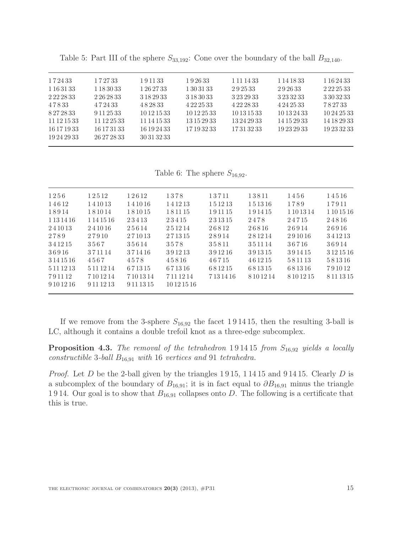| 172433      | 172733        | 191133      | 192633        | 1 1 1 1 4 3 3 | 1 14 18 33  | 1 16 24 33    |
|-------------|---------------|-------------|---------------|---------------|-------------|---------------|
| 1 16 31 33  | 1 1 8 3 0 3 3 | 1 26 27 33  | 1 30 31 33    | 292533        | 292633      | 2 2 2 2 5 3 3 |
|             | 2 26 28 33    | 3 18 29 33  | 3 18 30 33    | 3 23 29 33    |             | 3 30 32 33    |
| 47833       | 472433        | 482833      | 4 2 2 2 5 3 3 | 4 22 28 33    | 4 24 25 33  | 782733        |
| 8272833     | 9 11 25 33    | 10 12 15 33 | 10 12 25 33   | 10 13 15 33   | 10 13 24 33 | 10 24 25 33   |
| 11 12 15 33 | 11 12 25 33   | 11 14 15 33 | 13 15 29 33   | 13 24 29 33   | 14 15 29 33 | 14 18 29 33   |
| 16 17 19 33 | 16 17 31 33   | 16 19 24 33 | 17 19 32 33   | 17313233      | 19 23 29 33 | 19 23 32 33   |
| 19 24 29 33 | 26 27 28 33   | 30 31 32 33 |               |               |             |               |
|             |               |             |               |               |             |               |

<span id="page-14-0"></span>Table 5: Part III of the sphere  $S_{33,192}$ : Cone over the boundary of the ball  $B_{32,140}$ .

<span id="page-14-1"></span>Table 6: The sphere  $S_{16,92}$ .

| 1256          | 12512         | 12612      | 1378        | 13711   | 13811   | 1456       | 14516      |
|---------------|---------------|------------|-------------|---------|---------|------------|------------|
| 14612         | 141013        | 141016     | 141213      | 151213  | 151316  | 1789       | 17911      |
| 18914         | 181014        | 181015     | 181115      | 191115  | 191415  | 1 10 13 14 | 1 10 15 16 |
| 1 1 3 1 4 1 6 | 1 1 4 1 5 1 6 | 23413      | 23415       | 231315  | 2478    | 24715      | 24816      |
| 241013        | 241016        | 25614      | 251214      | 26812   | 26816   | 26914      | 26916      |
| 2789          | 27910         | 271013     | 271315      | 28914   | 281214  | 291016     | 341213     |
| 341215        | 3567          | 35614      | 3578        | 35811   | 351114  | 36716      | 36914      |
| 36916         | 371114        | 371416     | 391213      | 391216  | 391315  | 391415     | 3 12 15 16 |
| 3 14 15 16    | 4567          | 4578       | 45816       | 46715   | 461215  | 581113     | 581316     |
| 5 11 12 13    | 5 11 12 14    | 671315     | 671316      | 681215  | 681315  | 681316     | 791012     |
| 791112        | 7101214       | 7101314    | 7111214     | 7131416 | 8101214 | 8101215    | 8 11 13 15 |
| 9 10 12 16    | 9 1 1 1 2 1 3 | 9 11 13 15 | 10 12 15 16 |         |         |            |            |
|               |               |            |             |         |         |            |            |

If we remove from the 3-sphere  $S_{16,92}$  the facet 191415, then the resulting 3-ball is LC, although it contains a double trefoil knot as a three-edge subcomplex.

**Proposition 4.3.** The removal of the tetrahedron 191415 from  $S_{16,92}$  yields a locally constructible 3-ball  $B_{16,91}$  with 16 vertices and 91 tetrahedra.

*Proof.* Let D be the 2-ball given by the triangles  $1915$ ,  $11415$  and  $91415$ . Clearly D is a subcomplex of the boundary of  $B_{16,91}$ ; it is in fact equal to  $\partial B_{16,91}$  minus the triangle 1914. Our goal is to show that  $B_{16,91}$  collapses onto D. The following is a certificate that this is true.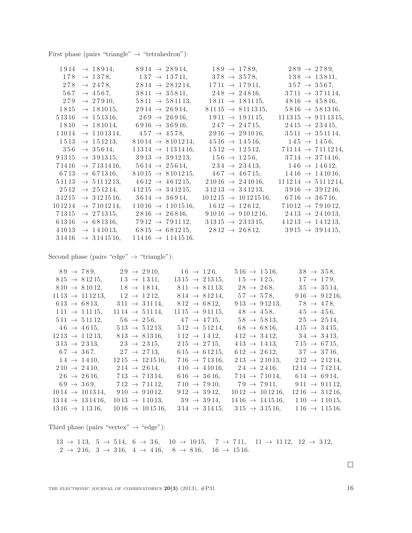First phase (pairs "triangle"  $\rightarrow$  "tetrahedron"):

| $1914 \rightarrow 18914$ ,           | $8914 \rightarrow 28914,$                                 | $189 \rightarrow 1789$ ,                                                                                             | $289 \rightarrow 2789$ ,                               |
|--------------------------------------|-----------------------------------------------------------|----------------------------------------------------------------------------------------------------------------------|--------------------------------------------------------|
|                                      | $178 \rightarrow 1378, \qquad 137 \rightarrow 13711,$     | $378 \rightarrow 3578$ ,                                                                                             | $138 \rightarrow 13811,$                               |
|                                      | $278 \rightarrow 2478$ , $2814 \rightarrow 281214$ ,      | $1711 \rightarrow 17911,$ $357 \rightarrow 3567,$                                                                    |                                                        |
| $567 \rightarrow 4567$ ,             | $3811 \rightarrow 35811,$                                 | $248 \rightarrow 24816,$                                                                                             | $3711 \rightarrow 371114$ ,                            |
|                                      | $279 \rightarrow 27910,$ $5811 \rightarrow 581113,$       | $1811 \rightarrow 181115$ ,                                                                                          | $4816 \rightarrow 45816,$                              |
|                                      | $1815 \rightarrow 181015, \qquad 2914 \rightarrow 26914,$ | $81115 \rightarrow 8111315,$                                                                                         | $5816 \rightarrow 581316,$                             |
| $51316 \rightarrow 151316,$          |                                                           | $269 \rightarrow 26916,$ $1911 \rightarrow 191115,$                                                                  | $11\,13\,15 \rightarrow 9\,11\,13\,15,$                |
|                                      |                                                           | $1810 \rightarrow 181014,$ $6916 \rightarrow 36916,$ $247 \rightarrow 24715,$                                        | $2415 \rightarrow 23415$ ,                             |
| $11014 \rightarrow 1101314,$         |                                                           | $457 \rightarrow 4578$ , $2916 \rightarrow 291016$ ,                                                                 | $3511 \rightarrow 351114$ ,                            |
| $1513 \rightarrow 151213,$           | $81014 \rightarrow 8101214,$                              | $4516 \rightarrow 14516,$ $145 \rightarrow 1456,$                                                                    |                                                        |
| $356 \rightarrow 35614,$             | $11314 \rightarrow 1131416$ ,                             |                                                                                                                      | $1512 \rightarrow 12512,$ $71114 \rightarrow 7111214,$ |
|                                      |                                                           | $91315 \rightarrow 391315, \qquad 3913 \rightarrow 391213, \qquad 156 \rightarrow 1256,$                             | $3714 \rightarrow 371416$ ,                            |
|                                      |                                                           | $71416 \rightarrow 7131416, \quad 5614 \rightarrow 25614, \quad 234 \rightarrow 23413, \quad 146 \rightarrow 14612,$ |                                                        |
| $6713 \rightarrow 671316$ ,          |                                                           | $81015 \rightarrow 8101215,$ $467 \rightarrow 46715,$ $1416 \rightarrow 141016,$                                     |                                                        |
| $51113 \rightarrow 5111213,$         |                                                           | $4612 \rightarrow 461215, \qquad 21016 \rightarrow 241016,$                                                          | $11\,12\,14 \rightarrow 5\,11\,12\,14,$                |
| $2\,5\,12 \rightarrow 2\,5\,12\,14,$ | $41215 \rightarrow 341215,$                               | $31213 \rightarrow 341213,$                                                                                          | $3\,9\,16 \rightarrow 3\,9\,12\,16,$                   |
| $31215 \rightarrow 3121516,$         | $3614 \rightarrow 36914,$                                 | $101215 \rightarrow 10121516,$ $6716 \rightarrow 36716,$                                                             |                                                        |
| $101214 \rightarrow 7101214,$        | $11016 \rightarrow 1101516,$                              | $1612 \rightarrow 12612$ ,                                                                                           | $71012 \rightarrow 791012$ ,                           |
|                                      |                                                           | $71315 \rightarrow 271315,$ $2816 \rightarrow 26816,$ $91016 \rightarrow 9101216,$ $2413 \rightarrow 241013,$        |                                                        |
|                                      |                                                           | $61316 \rightarrow 681316,$ $7912 \rightarrow 791112,$ $31315 \rightarrow 231315,$                                   | $41213 \rightarrow 141213$ ,                           |
|                                      |                                                           | $41013 \rightarrow 141013,$ $6815 \rightarrow 681215,$ $2812 \rightarrow 26812,$                                     | $3915 \rightarrow 391415$ ,                            |
| $31416 \rightarrow 3141516,$         | $11416 \rightarrow 1141516.$                              |                                                                                                                      |                                                        |

Second phase (pairs "edge"  $\rightarrow$  "triangle"):

| $89 \rightarrow 789$ ,           | $29 \rightarrow 2910,$           | $16 \to 126$ ,                   | $516 \rightarrow 1516,$           | $38 \to 358$ ,                  |
|----------------------------------|----------------------------------|----------------------------------|-----------------------------------|---------------------------------|
| $815 \rightarrow 81215$ ,        | $13 \to 1311$ ,                  | $1315 \rightarrow 21315$ ,       | $15 \to 125$ ,                    | $17 \to 179$ ,                  |
| $810 \rightarrow 81012$ ,        | $18 \rightarrow 1814$ ,          | $811 \rightarrow 81113$ ,        | $28 \to 268$ ,                    | $35 \to 3514$ ,                 |
| $11\,13 \rightarrow 11\,12\,13,$ | $12 \rightarrow 1212$ ,          | $814 \rightarrow 81214,$         | $57 \to 578$ ,                    | $916 \rightarrow 91216$ ,       |
| $613 \rightarrow 6813$ ,         | $311 \rightarrow 31114$ ,        | $812 \rightarrow 6812,$          | $913 \rightarrow 91213$ ,         | $78 \rightarrow 478$ ,          |
| $111 \rightarrow 11115$ ,        | $11\,14 \rightarrow 5\,11\,14,$  | $11\,15 \rightarrow 9\,11\,15$ , | $48 \to 458$ ,                    | $45 \to 456$ ,                  |
| $511 \rightarrow 51112$ ,        | $56 \rightarrow 256$ ,           | $47 \rightarrow 4715$ ,          | $58 \rightarrow 5813,$            | $25 \rightarrow 2514$ ,         |
| $46 \rightarrow 4615,$           | $513 \rightarrow 51213$ ,        | $512 \rightarrow 51214$ ,        | $68 \rightarrow 6816,$            | $415 \rightarrow 3415$ ,        |
| $12\,13 \rightarrow 112\,13,$    | $813 \rightarrow 81316$ ,        | $112 \rightarrow 1412$ ,         | $412 \rightarrow 3412$ ,          | $34 \rightarrow 3413,$          |
| $313 \rightarrow 2313$ ,         | $23 \rightarrow 2315$ ,          | $215 \rightarrow 2715$ ,         | $413 \rightarrow 1413$ ,          | $715 \rightarrow 6715$ ,        |
| $67 \rightarrow 367$ ,           | $27 \to 2713$ ,                  | $615 \rightarrow 61215$ ,        | $612 \rightarrow 2612$ ,          | $37 \to 3716$ ,                 |
| $14 \rightarrow 1410,$           | $1215 \rightarrow 121516$ ,      | $716 \rightarrow 71316$ ,        | $213 \rightarrow 21013$ ,         | $212 \rightarrow 21214$ ,       |
| $210 \rightarrow 2410,$          | $214 \rightarrow 2614$ ,         | $410 \rightarrow 41016,$         | $24 \rightarrow 2416$ ,           | $1214 \rightarrow 71214$ ,      |
| $26 \rightarrow 2616,$           | $713 \rightarrow 71314$ ,        | $616 \rightarrow 3616$ ,         | $714 \rightarrow 71014,$          | $614 \rightarrow 6914$ ,        |
| $69 \to 369,$                    | $712 \rightarrow 71112$ ,        | $710 \rightarrow 7910,$          | $79 \rightarrow 7911$             | $911 \rightarrow 91112$ ,       |
| $1014 \rightarrow 101314$ ,      | $910 \rightarrow 91012$ ,        | $912 \rightarrow 3912$ ,         | $1012 \rightarrow 101216$ ,       | $12\,16 \rightarrow 3\,12\,16,$ |
| $13\,14 \rightarrow 13\,14\,16,$ | $1013 \rightarrow 11013$ ,       | $39 \rightarrow 3914,$           | $14\,16 \rightarrow 14\,15\,16$ , | $110 \rightarrow 11015$ ,       |
| $13\,16 \rightarrow 1\,13\,16,$  | $10\,16 \rightarrow 10\,15\,16,$ | $314 \rightarrow 31415$ ,        | $315 \rightarrow 31516$ ,         | $116 \rightarrow 11516.$        |

Third phase (pairs "vertex"  $\rightarrow$  "edge"):

 $13 \ \rightarrow \ 113, \ \ 5 \ \rightarrow \ 5 \ 14, \ \ 6 \ \rightarrow \ 3 \ 6, \quad \ 10 \ \rightarrow \ 10 \ 15, \quad \ 7 \ \rightarrow \ 7 \ 11, \quad \ 11 \ \rightarrow \ 11 \ 12, \ \ 12 \ \rightarrow \ 3 \ 12,$  $2\ \rightarrow\ 2\ 16,\ \ 3\ \rightarrow\ 3\ 16,\ \ 4\ \rightarrow\ 4\ 16,\quad 8\ \rightarrow\ 8\ 16,\quad 16\ \rightarrow\ 15\ 16.$ 

 $\hfill \square$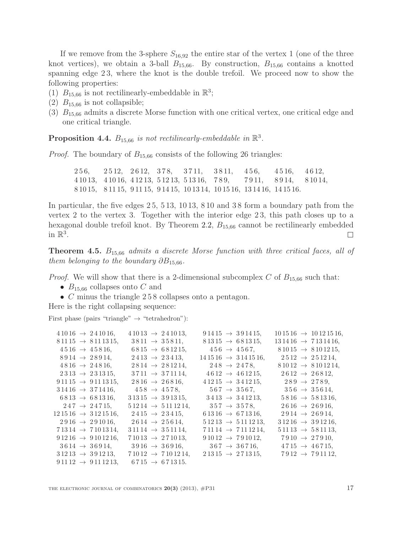If we remove from the 3-sphere  $S_{16,92}$  the entire star of the vertex 1 (one of the three knot vertices), we obtain a 3-ball  $B_{15,66}$ . By construction,  $B_{15,66}$  contains a knotted spanning edge 23, where the knot is the double trefoil. We proceed now to show the following properties:

- (1)  $B_{15,66}$  is not rectilinearly-embeddable in  $\mathbb{R}^3$ ;
- (2)  $B_{15,66}$  is not collapsible;
- $(3)$   $B_{15,66}$  admits a discrete Morse function with one critical vertex, one critical edge and one critical triangle.

### **Proposition 4.4.**  $B_{15,66}$  is not rectilinearly-embeddable in  $\mathbb{R}^3$ .

*Proof.* The boundary of  $B_{15,66}$  consists of the following 26 triangles:

2 5 6, 2 5 12, 2 6 12, 3 7 8, 3 7 11, 3 8 11, 4 5 6, 4 5 16, 4 6 12, 4 10 13, 4 10 16, 4 12 13, 5 12 13, 5 13 16, 7 8 9, 7 9 11, 8 9 14, 8 10 14, 8 10 15, 8 11 15, 9 11 15, 9 14 15, 10 13 14, 10 15 16, 13 14 16, 14 15 16.

In particular, the five edges 2 5, 5 13, 10 13, 8 10 and 3 8 form a boundary path from the vertex 2 to the vertex 3. Together with the interior edge 2 3, this path closes up to a hexagonal double trefoil knot. By Theorem [2.2,](#page-7-1)  $B_{15,66}$  cannot be rectilinearly embedded in  $\mathbb{R}^3$ .  $\overline{\phantom{a}}$ 

**Theorem 4.5.**  $B_{15,66}$  admits a discrete Morse function with three critical faces, all of them belonging to the boundary  $\partial B_{15,66}$ .

*Proof.* We will show that there is a 2-dimensional subcomplex C of  $B_{15,66}$  such that:

- $B_{15,66}$  collapses onto C and
- C minus the triangle 258 collapses onto a pentagon.

Here is the right collapsing sequence:

First phase (pairs "triangle"  $\rightarrow$  "tetrahedron"):

| $41016 \rightarrow 241016.$             | $41013 \rightarrow 241013.$   | $91415 \rightarrow 391415.$             | $101516 \rightarrow 10121516,$          |
|-----------------------------------------|-------------------------------|-----------------------------------------|-----------------------------------------|
| $81115 \rightarrow 8111315$ ,           | $3811 \rightarrow 35811,$     | $81315 \rightarrow 681315,$             | $13\,14\,16 \rightarrow 7\,13\,14\,16,$ |
| $4516 \rightarrow 45816,$               | $6815 \rightarrow 681215$ ,   | $456 \rightarrow 4567$ ,                | $81015 \rightarrow 8101215$ ,           |
| $8914 \rightarrow 28914$ ,              | $2413 \rightarrow 23413$ ,    | $14\,15\,16 \rightarrow 3\,14\,15\,16,$ | $2512 \rightarrow 251214$ ,             |
| $4816 \rightarrow 24816,$               | $2814 \rightarrow 281214$ ,   | $248 \rightarrow 2478$                  | $81012 \rightarrow 8101214,$            |
| $2313 \rightarrow 231315$ ,             | $3711 \rightarrow 371114$ ,   | $4612 \rightarrow 461215$ ,             | $2612 \rightarrow 26812$ ,              |
| $91115 \rightarrow 9111315$ ,           | $2816 \rightarrow 26816,$     | $41215 \rightarrow 341215.$             | $289 \rightarrow 2789$ ,                |
| $31416 \rightarrow 371416$ ,            | $458 \rightarrow 4578$        | $567 \rightarrow 3567$                  | $356 \rightarrow 35614$ ,               |
| $6813 \rightarrow 681316,$              | $31315 \rightarrow 391315$ ,  | $3413 \rightarrow 341213$ ,             | $5816 \rightarrow 581316$ ,             |
| $247 \rightarrow 24715$ ,               | $51214 \rightarrow 5111214,$  | $357 \rightarrow 3578$ ,                | $2616 \rightarrow 26916,$               |
| $12\,15\,16 \rightarrow 3\,12\,15\,16.$ | $2415 \rightarrow 23415$ ,    | $61316 \rightarrow 671316$ ,            | $2914 \rightarrow 26914$ ,              |
| $2916 \rightarrow 291016$ ,             | $2614 \rightarrow 25614$ ,    | $51213 \rightarrow 5111213.$            | $31216 \rightarrow 391216,$             |
| $71314 \rightarrow 7101314,$            | $31114 \rightarrow 351114$ .  | $71114 \rightarrow 7111214$ ,           | $51113 \rightarrow 581113$ .            |
| $91216 \rightarrow 9101216$ ,           | $71013 \rightarrow 271013,$   | $91012 \rightarrow 791012.$             | $7910 \rightarrow 27910,$               |
| $3614 \rightarrow 36914.$               | $3916 \rightarrow 36916$ ,    | $367 \rightarrow 36716$ ,               | $4715 \rightarrow 46715$ ,              |
| $31213 \rightarrow 391213.$             | $71012 \rightarrow 7101214$ , | $21315 \rightarrow 271315.$             | $7912 \rightarrow 791112$ ,             |
| $91112 \rightarrow 9111213$ ,           | $6715 \rightarrow 671315.$    |                                         |                                         |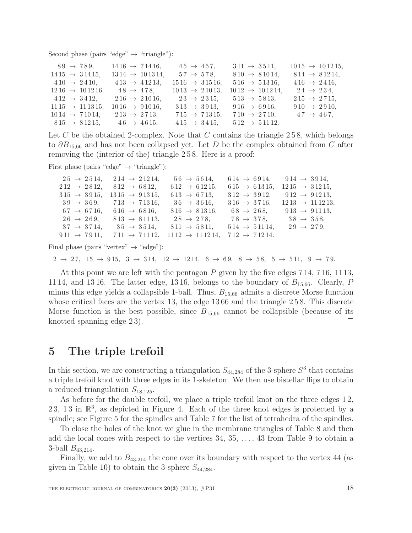Second phase (pairs "edge"  $\rightarrow$  "triangle"):

| $89 \rightarrow 789.$             | $1416 \rightarrow 71416$ ,       | $45 \to 457$ .             | $311 \rightarrow 3511$ ,    | $1015 \rightarrow 101215$ , |
|-----------------------------------|----------------------------------|----------------------------|-----------------------------|-----------------------------|
|                                   |                                  |                            |                             |                             |
| $1415 \rightarrow 31415$ ,        | $13\,14 \rightarrow 10\,13\,14,$ | $57 \to 578$ ,             | $810 \rightarrow 81014$ ,   | $814 \rightarrow 81214$ ,   |
| $410 \rightarrow 2410.$           | $413 \rightarrow 41213$ ,        | $1516 \rightarrow 31516,$  | $516 \rightarrow 51316$ ,   | $416 \rightarrow 2416$ ,    |
| $12\,16 \rightarrow 10\,12\,16$ , | $48 \rightarrow 478$             | $1013 \rightarrow 21013$ , | $1012 \rightarrow 101214$ , | $24 \rightarrow 234$ .      |
| $412 \rightarrow 3412$ ,          | $216 \rightarrow 21016$ ,        | $23 \rightarrow 2315$ ,    | $513 \rightarrow 5813$ ,    | $215 \rightarrow 2715$ ,    |
| $11\,15 \rightarrow 11\,13\,15,$  | $1016 \rightarrow 91016$ ,       | $313 \rightarrow 3913$ .   | $916 \rightarrow 6916,$     | $910 \rightarrow 2910.$     |
| $1014 \rightarrow 71014$ ,        | $213 \rightarrow 2713$ ,         | $715 \rightarrow 71315$ ,  | $710 \rightarrow 2710,$     | $47 \to 467$ ,              |
| $815 \rightarrow 81215$ ,         | $46 \rightarrow 4615,$           | $415 \rightarrow 3415$ ,   | $512 \rightarrow 51112.$    |                             |

Let C be the obtained 2-complex. Note that C contains the triangle  $258$ , which belongs to  $\partial B_{15,66}$  and has not been collapsed yet. Let D be the complex obtained from C after removing the (interior of the) triangle 2 5 8. Here is a proof:

First phase (pairs "edge"  $\rightarrow$  "triangle"):

 $25 \rightarrow 2514$ ,  $214 \rightarrow 21214$ ,  $56 \rightarrow 5614$ ,  $614 \rightarrow 6914$ ,  $914 \rightarrow 3914$ ,  $212 \rightarrow 2812$ ,  $812 \rightarrow 6812$ ,  $612 \rightarrow 61215$ ,  $615 \rightarrow 61315$ ,  $1215 \rightarrow 31215$ ,  $315 \rightarrow 3915$ ,  $1315 \rightarrow 91315$ ,  $613 \rightarrow 6713$ ,  $312 \rightarrow 3912$ ,  $912 \rightarrow 91213$ ,  $39 \rightarrow 369$ ,  $713 \rightarrow 71316$ ,  $36 \rightarrow 3616$ ,  $316 \rightarrow 3716$ ,  $1213 \rightarrow 111213$ ,  $67 \rightarrow 6716, \quad 616 \rightarrow 6816, \quad 816 \rightarrow 81316, \quad 68 \rightarrow 268, \quad 913 \rightarrow 91113,$  $26 \rightarrow 269$ ,  $813 \rightarrow 81113$ ,  $28 \rightarrow 278$ ,  $78 \rightarrow 378$ ,  $38 \rightarrow 358$ ,  $37 \rightarrow 3714$ ,  $35 \rightarrow 3514$ ,  $811 \rightarrow 5811$ ,  $514 \rightarrow 51114$ ,  $29 \rightarrow 279$ ,  $911 \rightarrow 7911, 711 \rightarrow 71112, 1112 \rightarrow 111214, 712 \rightarrow 71214.$ 

Final phase (pairs "vertex"  $\rightarrow$  "edge"):

 $2 \rightarrow 27, 15 \rightarrow 915, 3 \rightarrow 314, 12 \rightarrow 1214, 6 \rightarrow 69, 8 \rightarrow 58, 5 \rightarrow 511, 9 \rightarrow 79.$ 

At this point we are left with the pentagon P given by the five edges 7 14, 7 16, 11 13, 11 14, and 13 16. The latter edge, 13 16, belongs to the boundary of  $B_{15,66}$ . Clearly, P minus this edge yields a collapsible 1-ball. Thus,  $B_{15,66}$  admits a discrete Morse function whose critical faces are the vertex 13, the edge 13 66 and the triangle 2 5 8. This discrete Morse function is the best possible, since  $B_{15,66}$  cannot be collapsible (because of its knotted spanning edge 2 3).  $\Box$ 

### 5 The triple trefoil

In this section, we are constructing a triangulation  $S_{44,284}$  of the 3-sphere  $S^3$  that contains a triple trefoil knot with three edges in its 1-skeleton. We then use bistellar flips to obtain a reduced triangulation  $S_{18,125}$ .

As before for the double trefoil, we place a triple trefoil knot on the three edges 12, 23, 13 in  $\mathbb{R}^3$ , as depicted in Figure [4.](#page-18-0) Each of the three knot edges is protected by a spindle; see Figure [5](#page-19-0) for the spindles and Table [7](#page-19-1) for the list of tetrahedra of the spindles.

To close the holes of the knot we glue in the membrane triangles of Table [8](#page-19-2) and then add the local cones with respect to the vertices 34, 35, . . . , 43 from Table [9](#page-20-0) to obtain a 3-ball  $B_{43,214}$ .

Finally, we add to  $B_{43,214}$  the cone over its boundary with respect to the vertex 44 (as given in Table [10\)](#page-21-0) to obtain the 3-sphere  $S_{44,284}$ .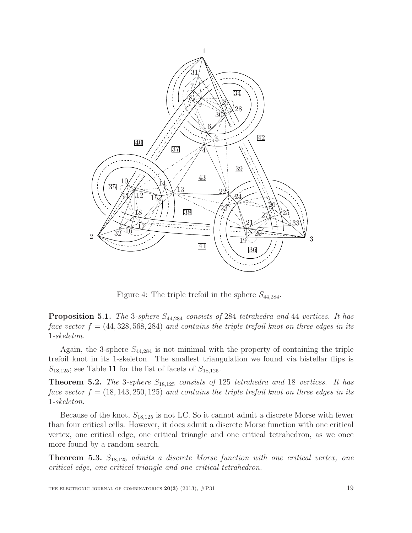

<span id="page-18-0"></span>Figure 4: The triple trefoil in the sphere  $S_{44,284}$ .

**Proposition 5.1.** The 3-sphere  $S_{44,284}$  consists of 284 tetrahedra and 44 vertices. It has face vector  $f = (44, 328, 568, 284)$  and contains the triple trefoil knot on three edges in its -skeleton.

Again, the 3-sphere  $S_{44,284}$  is not minimal with the property of containing the triple trefoil knot in its 1-skeleton. The smallest triangulation we found via bistellar flips is  $S_{18,125}$ ; see Table [11](#page-21-1) for the list of facets of  $S_{18,125}$ .

**Theorem 5.2.** The 3-sphere  $S_{18,125}$  consists of 125 tetrahedra and 18 vertices. It has face vector  $f = (18, 143, 250, 125)$  and contains the triple trefoil knot on three edges in its -skeleton.

Because of the knot,  $S_{18,125}$  is not LC. So it cannot admit a discrete Morse with fewer than four critical cells. However, it does admit a discrete Morse function with one critical vertex, one critical edge, one critical triangle and one critical tetrahedron, as we once more found by a random search.

**Theorem 5.3.**  $S_{18,125}$  admits a discrete Morse function with one critical vertex, one critical edge, one critical triangle and one critical tetrahedron.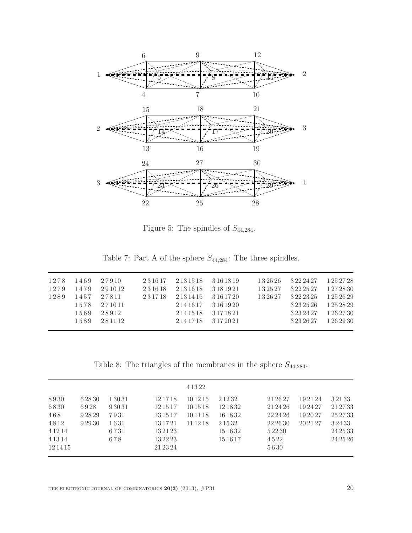

<span id="page-19-0"></span>Figure 5: The spindles of  $S_{44,284}$ .

<span id="page-19-1"></span>Table 7: Part A of the sphere  $S_{44,284}$  : The three spindles.

|      |      | 1278 1469 27910 | 231617 2131518 3161819 |                       | 132526 3222427 1252728                  |                       |
|------|------|-----------------|------------------------|-----------------------|-----------------------------------------|-----------------------|
| 1279 | 1479 | 291012          | 231618 2131618 3181921 |                       | 1 3 2 5 2 7 3 2 2 2 5 2 7 1 2 7 2 8 3 0 |                       |
| 1289 |      | 1457 27811      | 231718 2131416 3161720 |                       | 132627 3222325 1252629                  |                       |
|      |      | 1578 271011     |                        | 2 14 16 17 3 16 19 20 |                                         | 3 23 25 26 1 25 28 29 |
|      | 1569 | 28912           |                        | 2 14 15 18 3 17 18 21 | 3 23 24 27 1 26 27 30                   |                       |
|      | 1589 | 281112          |                        | 2.14.17.18 3.17.20.21 | 3 23 26 27 1 26 29 30                   |                       |
|      |      |                 |                        |                       |                                         |                       |

<span id="page-19-2"></span>Table 8: The triangles of the membranes in the sphere  $S_{44,284}$ .

|           |         |       |          | 4 1 3 2 2 |           |           |          |           |
|-----------|---------|-------|----------|-----------|-----------|-----------|----------|-----------|
| 8930      | 6 28 30 | 13031 | 12 17 18 | 10 12 15  | 2 1 2 3 2 | 21 26 27  | 192124   | 3 2 1 3 3 |
| 6830      | 6928    | 93031 | 12 15 17 | 10 15 18  | 12 18 32  | 21 24 26  | 192427   | 21 27 33  |
| 468       | 92829   | 7931  | 13 15 17 | 101118    | 16 18 32  | 22 24 26  | 19 20 27 | 25 27 33  |
| 4812      | 9 29 30 | 1631  | 13 17 21 | 11 12 18  | 2 1 5 3 2 | 22 26 30  | 20 21 27 | 32433     |
| 4 1 2 1 4 |         | 6731  | 13 21 23 |           | 15 16 32  | 5 2 2 3 0 |          | 24 25 33  |
| 4 1 3 1 4 |         | 678   | 13 22 23 |           | 15 16 17  | 4522      |          | 24 25 26  |
| 12 14 15  |         |       | 21 23 24 |           |           | 5630      |          |           |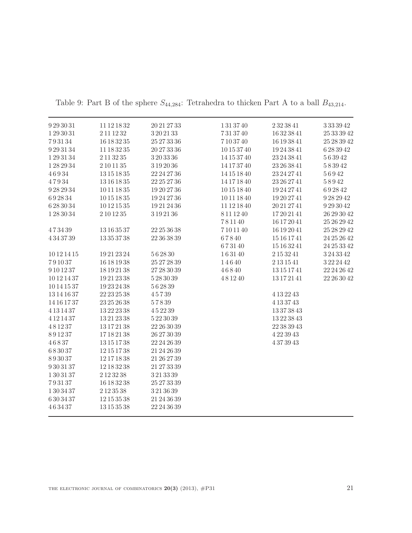| 9293031     | 11 12 18 32     | 20 21 27 33      | 1313740     | 2323841          | $3\,33\,39\,42$ |
|-------------|-----------------|------------------|-------------|------------------|-----------------|
| 1 29 30 31  | 2 11 12 32      | 3 20 21 33       | 7313740     | 16323841         | 25 33 39 42     |
| 793134      | 16 18 32 35     | 25 27 33 36      | 7103740     | 16 19 38 41      | 25 28 39 42     |
| 9293134     | 11 18 32 35     | 20 27 33 36      | 10 15 37 40 | 19243841         | 6283942         |
| 1293134     | 2 11 32 35      | 3 20 33 36       | 14 15 37 40 | 23 24 38 41      | 563942          |
| 1282934     | $2\,10\,11\,35$ | 3192036          | 14 17 37 40 | 23 26 38 41      | $5\,8\,39\,42$  |
| 46934       | 13 15 18 35     | 22 24 27 36      | 14 15 18 40 | 23 24 27 41      | 56942           |
| 47934       | 13 16 18 35     | 22 25 27 36      | 14 17 18 40 | 23 26 27 41      | 58942           |
| 9282934     | 10 11 18 35     | 19 20 27 36      | 10 15 18 40 | 19242741         | 692842          |
| 692834      | 10151835        | 19242736         | 10 11 18 40 | 19202741         | 9282942         |
| 6 28 30 34  | 10 12 15 35     | 19212436         | 11 12 18 40 | 20212741         | $9\,29\,30\,42$ |
| 1283034     | $2\,10\,12\,35$ | 3 19 21 36       | 8111240     | 17202141         | 26 29 30 42     |
|             |                 |                  | 781140      | 16 17 20 41      | 25 26 29 42     |
| 473439      | 13 16 35 37     | 22 25 36 38      | 7101140     | 16 19 20 41      | 25 28 29 42     |
| 4343739     | 13353738        | 22 36 38 39      | 67840       | 15 16 17 41      | 24 25 26 42     |
|             |                 |                  | 673140      | 15 16 32 41      | 24 25 33 42     |
| 10 12 14 15 | 19212324        | 562830           | 163140      | 2 15 32 41       | 3243342         |
| 791037      | 16 18 19 38     | 25 27 28 39      | 14640       | 2 13 15 41       | 3222442         |
| 9 10 12 37  | 18 19 21 38     | 27 28 30 39      | 46840       | 13 15 17 41      | 22 24 26 42     |
| 10 12 14 37 | 19212338        | 5 28 30 39       | 481240      | 13 17 21 41      | 22 26 30 42     |
| 10 14 15 37 | 19232438        | 562839           |             |                  |                 |
| 13 14 16 37 | 22 23 25 38     | 45739            |             | 4 13 22 43       |                 |
| 14 16 17 37 | 23 25 26 38     | 57839            |             | 4 13 37 43       |                 |
| 4 13 14 37  | 13222338        | $4\,5\,22\,39$   |             | 13373843         |                 |
| 4 12 14 37  | 13212338        | 5 22 30 39       |             | 13223843         |                 |
| 481237      | 13 17 21 38     | $22\,26\,30\,39$ |             | $22\,38\,39\,43$ |                 |
| 891237      | 17182138        | 26 27 30 39      |             | 4223943          |                 |
| 46837       | 13151738        | 22 24 26 39      |             | 4373943          |                 |
| 683037      | 12 15 17 38     | 21 24 26 39      |             |                  |                 |
| 893037      | 12171838        | 21 26 27 39      |             |                  |                 |
| 9303137     | 12 18 32 38     | 21 27 33 39      |             |                  |                 |
| 1303137     | 2 12 32 38      | 3213339          |             |                  |                 |
| 793137      | 16 18 32 38     | 25 27 33 39      |             |                  |                 |
| 1 30 34 37  | 2 1 2 3 5 3 8   | 3213639          |             |                  |                 |
| 6303437     | 12 15 35 38     | $21\,24\,36\,39$ |             |                  |                 |
| 463437      | 13153538        | 22 24 36 39      |             |                  |                 |
|             |                 |                  |             |                  |                 |

<span id="page-20-0"></span>Table 9: Part B of the sphere  $S_{44,284}$ : Tetrahedra to thicken Part A to a ball  $B_{43,214}$ .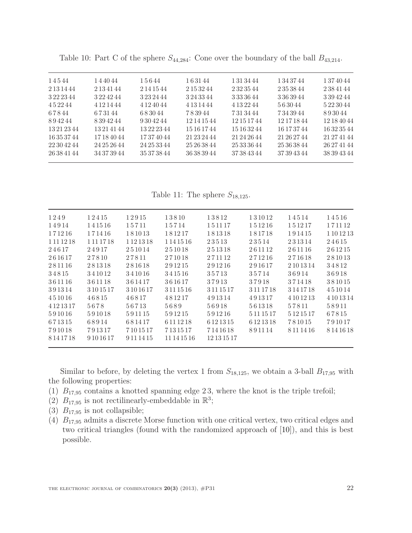| 14544       | 144044        | 15644         | 163144      | 1 31 34 44    | 1 34 37 44  | 1 37 40 44  |
|-------------|---------------|---------------|-------------|---------------|-------------|-------------|
| 2 13 14 44  | 2 13 41 44    | 2 14 15 44    | 2 15 32 44  | 2 3 2 3 5 4 4 | 2 35 38 44  | 2384144     |
| 3 22 23 44  | 3 2 2 4 2 4 4 | 3 23 24 44    | 3 24 33 44  | 3 3 3 3 4 4   | 3 36 39 44  | 3394244     |
| 452244      | 4 1 2 1 4 4 4 | 4 1 2 4 0 4 4 | 4 13 14 44  | 4 13 22 44    | 563044      | 5 22 30 44  |
| 67844       | 673144        | 683044        | 783944      | 7313444       | 7343944     | 893044      |
| 894244      | 8394244       | 9 30 42 44    | 12 14 15 44 | 12 15 17 44   | 12 17 18 44 | 12 18 40 44 |
| 13 21 23 44 | 13 21 41 44   | 13222344      | 15 16 17 44 | 15 16 32 44   | 16 17 37 44 | 16323544    |
| 16 35 37 44 | 17184044      | 17374044      | 21 23 24 44 | 21 24 26 44   | 21 26 27 44 | 21 27 41 44 |
| 22 30 42 44 | 24 25 26 44   | 24 25 33 44   | 25 26 38 44 | 25 33 36 44   | 25 36 38 44 | 26 27 41 44 |
| 26 38 41 44 | 34 37 39 44   | 35 37 38 44   | 36 38 39 44 | 37 38 43 44   | 37 39 43 44 | 38 39 43 44 |

<span id="page-21-0"></span>Table 10: Part C of the sphere  $S_{44,284}$ : Cone over the boundary of the ball  $B_{43,214}$ .

<span id="page-21-1"></span>Table 11: The sphere  $S_{18,125}$ .

| 1249          | 12415         | 12915         | 13810         | 13812       | 131012     | 14514         | 14516      |
|---------------|---------------|---------------|---------------|-------------|------------|---------------|------------|
| 14914         | 141516        | 15711         | 15714         | 151117      | 151216     | 151217        | 171112     |
| 171216        | 171416        | 181013        | 181217        | 181318      | 181718     | 191415        | 1 10 12 13 |
| 1 1 1 1 2 1 8 | 1 1 1 1 7 1 8 | 1 1 2 1 3 1 8 | 1 1 4 1 5 1 6 | 23513       | 23514      | 231314        | 24615      |
| 24617         | 24917         | 251014        | 251018        | 251318      | 261112     | 261116        | 261215     |
| 261617        | 27810         | 27811         | 271018        | 271112      | 271216     | 271618        | 281013     |
| 281116        | 281318        | 281618        | 291215        | 291216      | 291617     | 2 10 13 14    | 34812      |
| 34815         | 341012        | 341016        | 341516        | 35713       | 35714      | 36914         | 36918      |
| 361116        | 361118        | 361417        | 361617        | 37913       | 37918      | 371418        | 381015     |
| 391314        | 3 10 15 17    | 3 10 16 17    | 3 11 15 16    | 3 11 15 17  | 3 11 17 18 | 3 14 17 18    | 451014     |
| 451016        | 46815         | 46817         | 481217        | 491314      | 491317     | 4 10 12 13    | 4 10 13 14 |
| 4 1 2 1 3 1 7 | 5678          | 56713         | 5689          | 56918       | 561318     | 57811         | 58911      |
| 591016        | 591018        | 591115        | 591215        | 591216      | 5 11 15 17 | 5 1 2 1 5 1 7 | 67815      |
| 671315        | 68914         | 681417        | 6 11 12 18    | 6 12 13 15  | 6 12 13 18 | 781015        | 791017     |
| 791018        | 791317        | 7 10 15 17    | 7 13 15 17    | 7141618     | 891114     | 8 11 14 16    | 8 14 16 18 |
| 8 14 17 18    | 9 10 16 17    | 9 11 14 15    | 11 14 15 16   | 12 13 15 17 |            |               |            |
|               |               |               |               |             |            |               |            |

Similar to before, by deleting the vertex 1 from  $S_{18,125}$ , we obtain a 3-ball  $B_{17,95}$  with the following properties:

- (1)  $B_{17,95}$  contains a knotted spanning edge 23, where the knot is the triple trefoil;
- (2)  $B_{17,95}$  is not rectilinearly-embeddable in  $\mathbb{R}^3$ ;
- (3)  $B_{17,95}$  is not collapsible;
- (4)  $B_{17,95}$  admits a discrete Morse function with one critical vertex, two critical edges and two critical triangles (found with the randomized approach of [\[10\]](#page-27-17)), and this is best possible.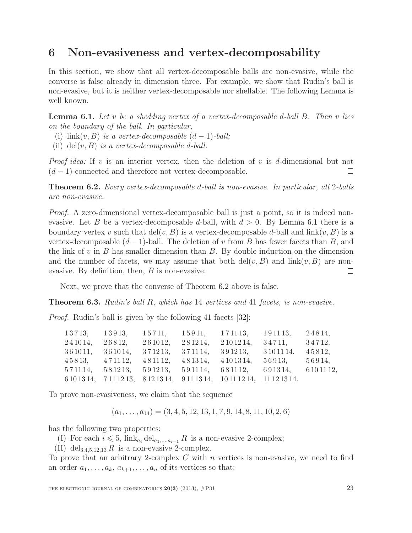## 6 Non-evasiveness and vertex-decomposability

In this section, we show that all vertex-decomposable balls are non-evasive, while the converse is false already in dimension three. For example, we show that Rudin's ball is non-evasive, but it is neither vertex-decomposable nor shellable. The following Lemma is well known.

<span id="page-22-1"></span>**Lemma 6.1.** Let  $v$  be a shedding vertex of a vertex-decomposable d-ball  $B$ . Then  $v$  lies on the boundary of the ball. In particular,

- (i)  $\text{link}(v, B)$  is a vertex-decomposable  $(d-1)$ -ball;
- (ii) del(v, B) is a vertex-decomposable d-ball.

*Proof idea:* If v is an interior vertex, then the deletion of v is d-dimensional but not  $(d-1)$ -connected and therefore not vertex-decomposable.  $\Box$ 

<span id="page-22-2"></span>Theorem 6.2. Every vertex-decomposable d-ball is non-evasive. In particular, all 2-balls are non-evasive.

Proof. A zero-dimensional vertex-decomposable ball is just a point, so it is indeed nonevasive. Let B be a vertex-decomposable d-ball, with  $d > 0$ . By Lemma [6.1](#page-22-1) there is a boundary vertex v such that  $del(v, B)$  is a vertex-decomposable d-ball and  $link(v, B)$  is a vertex-decomposable  $(d-1)$ -ball. The deletion of v from B has fewer facets than B, and the link of  $v$  in  $B$  has smaller dimension than  $B$ . By double induction on the dimension and the number of facets, we may assume that both  $\text{del}(v, B)$  and  $\text{link}(v, B)$  are nonevasive. By definition, then, B is non-evasive.  $\Box$ 

Next, we prove that the converse of Theorem [6.2](#page-22-2) above is false.

<span id="page-22-0"></span>Theorem 6.3. Rudin's ball R, which has 14 vertices and 41 facets, is non-evasive.

Proof. Rudin's ball is given by the following 41 facets [\[32\]](#page-28-9):

| 13713,         | 13913,                  | 15711,  | 15911,           | 171113,                                                                   | 191113, | 24814,      |
|----------------|-------------------------|---------|------------------|---------------------------------------------------------------------------|---------|-------------|
| 241014,        | 26812,                  | 261012, | 281214,          | 2 10 12 14,                                                               | 34711,  | 34712,      |
| 361011,        | 361014,                 | 371213, | 371114,          | $3\,9\,12\,13,$ $3\,10\,11\,14,$                                          |         | 45812,      |
| 45813, 471112, |                         | 481112, | 481314, 4101314, |                                                                           | 56913,  | 56914,      |
| 571114,        | 581213, 591213, 591114, |         |                  | 681112,                                                                   | 691314, | 6 10 11 12, |
|                |                         |         |                  | 6 10 13 14, 7 11 12 13, 8 12 13 14, 9 11 13 14, 10 11 12 14, 11 12 13 14. |         |             |

To prove non-evasiveness, we claim that the sequence

$$
(a_1, \ldots, a_{14}) = (3, 4, 5, 12, 13, 1, 7, 9, 14, 8, 11, 10, 2, 6)
$$

has the following two properties:

(I) For each  $i \leq 5$ ,  $\lim_{a_i} \text{del}_{a_1,\dots,a_{i-1}} R$  is a non-evasive 2-complex;

(II) del<sub>3,4,5,12,13</sub> R is a non-evasive 2-complex.

To prove that an arbitrary 2-complex  $C$  with  $n$  vertices is non-evasive, we need to find an order  $a_1, \ldots, a_k, a_{k+1}, \ldots, a_n$  of its vertices so that: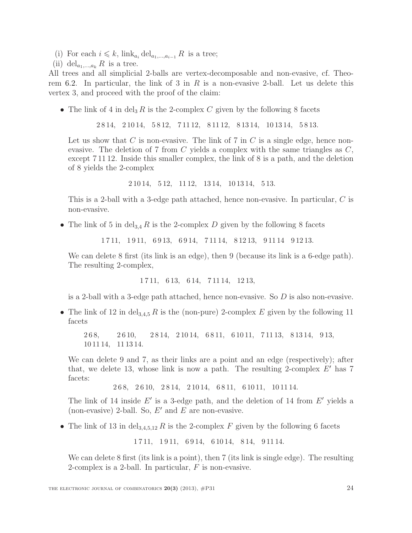- (i) For each  $i \leq k$ , link<sub>ai</sub> del<sub>a<sub>1</sub>,...,a<sub>i-1</sub></sub> R is a tree;
- (ii) del<sub>a<sub>1,...,ak</sub> R is a tree.</sub>

All trees and all simplicial 2-balls are vertex-decomposable and non-evasive, cf. Theo-rem [6.2.](#page-22-2) In particular, the link of 3 in R is a non-evasive 2-ball. Let us delete this vertex 3, and proceed with the proof of the claim:

• The link of 4 in del<sub>3</sub> R is the 2-complex C given by the following 8 facets

2 8 14, 2 10 14, 5 8 12, 7 11 12, 8 11 12, 8 13 14, 10 13 14, 5 8 13.

Let us show that C is non-evasive. The link of 7 in C is a single edge, hence nonevasive. The deletion of 7 from C yields a complex with the same triangles as  $C$ , except 7 11 12. Inside this smaller complex, the link of 8 is a path, and the deletion of 8 yields the 2-complex

2 10 14, 5 12, 11 12, 13 14, 10 13 14, 5 13.

This is a 2-ball with a 3-edge path attached, hence non-evasive. In particular, C is non-evasive.

• The link of 5 in del<sub>3,4</sub> R is the 2-complex D given by the following 8 facets

1 7 11, 1 9 11, 6 9 13, 6 9 14, 7 11 14, 8 12 13, 9 11 14 9 12 13.

We can delete 8 first (its link is an edge), then 9 (because its link is a 6-edge path). The resulting 2-complex,

1 7 11, 6 13, 6 14, 7 11 14, 12 13,

is a 2-ball with a 3-edge path attached, hence non-evasive. So D is also non-evasive.

• The link of 12 in del<sub>3,4,5</sub> R is the (non-pure) 2-complex E given by the following 11 facets

2 6 8, 2 6 10, 2 8 14, 2 10 14, 6 8 11, 6 10 11, 7 11 13, 8 13 14, 9 13, 10 11 14, 11 13 14.

We can delete 9 and 7, as their links are a point and an edge (respectively); after that, we delete 13, whose link is now a path. The resulting 2-complex  $E'$  has 7 facets:

2 6 8, 2 6 10, 2 8 14, 2 10 14, 6 8 11, 6 10 11, 10 11 14.

The link of 14 inside  $E'$  is a 3-edge path, and the deletion of 14 from  $E'$  yields a (non-evasive) 2-ball. So,  $E'$  and  $E$  are non-evasive.

• The link of 13 in del<sub>3,4,5,12</sub> R is the 2-complex F given by the following 6 facets

1 7 11, 1 9 11, 6 9 14, 6 10 14, 8 14, 9 11 14.

We can delete 8 first (its link is a point), then 7 (its link is single edge). The resulting 2-complex is a 2-ball. In particular,  $F$  is non-evasive.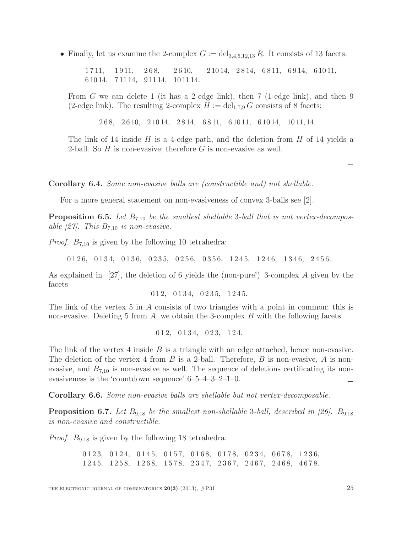• Finally, let us examine the 2-complex  $G := \text{del}_{3,4,5,12,13} R$ . It consists of 13 facets:

1 7 11, 1 9 11, 2 6 8, 2 6 10, 2 10 14, 2 8 14, 6 8 11, 6 9 14, 6 10 11, 6 10 14, 7 11 14, 9 11 14, 10 11 14.

From G we can delete 1 (it has a 2-edge link), then 7 (1-edge link), and then 9 (2-edge link). The resulting 2-complex  $H := \text{del}_{1,7,9} G$  consists of 8 facets:

2 6 8, 2 6 10, 2 10 14, 2 8 14, 6 8 11, 6 10 11, 6 10 14, 10 11, 14.

The link of 14 inside H is a 4-edge path, and the deletion from H of 14 yields a 2-ball. So  $H$  is non-evasive; therefore  $G$  is non-evasive as well.

Corollary 6.4. Some non-evasive balls are (constructible and) not shellable.

For a more general statement on non-evasiveness of convex 3-balls see [\[2\]](#page-26-4).

**Proposition 6.5.** Let  $B_{7,10}$  be the smallest shellable 3-ball that is not vertex-decompos-able [\[27\]](#page-28-3). This  $B_{7,10}$  is non-evasive.

*Proof.*  $B_{7,10}$  is given by the following 10 tetrahedra:

0 1 2 6, 0 1 3 4, 0 1 3 6, 0 2 3 5, 0 2 5 6, 0 3 5 6, 1 2 4 5, 1 2 4 6, 1 3 4 6, 2 4 5 6.

As explained in [\[27\]](#page-28-3), the deletion of 6 yields the (non-pure!) 3-complex A given by the facets

0 1 2, 0 1 3 4, 0 2 3 5, 1 2 4 5.

The link of the vertex 5 in A consists of two triangles with a point in common; this is non-evasive. Deleting 5 from  $A$ , we obtain the 3-complex  $B$  with the following facets.

0 1 2, 0 1 3 4, 0 2 3, 1 2 4.

The link of the vertex 4 inside  $B$  is a triangle with an edge attached, hence non-evasive. The deletion of the vertex 4 from  $B$  is a 2-ball. Therefore,  $B$  is non-evasive,  $A$  is nonevasive, and  $B_{7,10}$  is non-evasive as well. The sequence of deletions certificating its nonevasiveness is the 'countdown sequence' 6–5–4–3–2–1–0.  $\Box$ 

Corollary 6.6. Some non-evasive balls are shellable but not vertex-decomposable.

**Proposition 6.7.** Let  $B_{9,18}$  be the smallest non-shellable 3-ball, described in [\[26\]](#page-28-4).  $B_{9,18}$ is non-evasive and constructible.

*Proof.*  $B_{9,18}$  is given by the following 18 tetrahedra:

0 1 2 3, 0 1 2 4, 0 1 4 5, 0 1 5 7, 0 1 6 8, 0 1 7 8, 0 2 3 4, 0 6 7 8, 1 2 3 6, 1 2 4 5, 1 2 5 8, 1 2 6 8, 1 5 7 8, 2 3 4 7, 2 3 6 7, 2 4 6 7, 2 4 6 8, 4 6 7 8.  $\Box$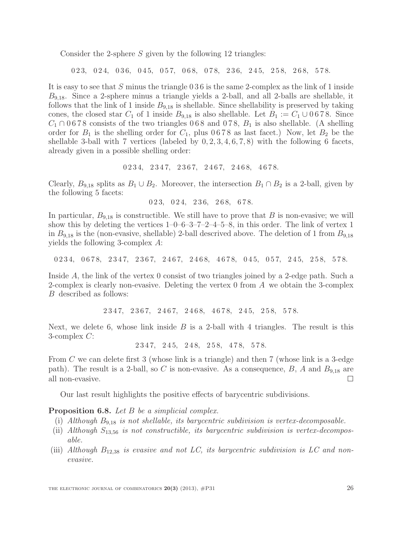Consider the 2-sphere S given by the following 12 triangles:

0 2 3, 0 2 4, 0 3 6, 0 4 5, 0 5 7, 0 6 8, 0 7 8, 2 3 6, 2 4 5, 2 5 8, 2 6 8, 5 7 8.

It is easy to see that S minus the triangle 0 3 6 is the same 2-complex as the link of 1 inside  $B_{9,18}$ . Since a 2-sphere minus a triangle yields a 2-ball, and all 2-balls are shellable, it follows that the link of 1 inside  $B_{9,18}$  is shellable. Since shellability is preserved by taking cones, the closed star  $C_1$  of 1 inside  $B_{9,18}$  is also shellable. Let  $B_1 := C_1 \cup 0.678$ . Since  $C_1 \cap 0.678$  consists of the two triangles 0.68 and 0.78,  $B_1$  is also shellable. (A shelling order for  $B_1$  is the shelling order for  $C_1$ , plus 0678 as last facet.) Now, let  $B_2$  be the shellable 3-ball with 7 vertices (labeled by  $0, 2, 3, 4, 6, 7, 8$ ) with the following 6 facets, already given in a possible shelling order:

$$
0 2 3 4, 2 3 4 7, 2 3 6 7, 2 4 6 7, 2 4 6 8, 4 6 7 8.
$$

Clearly,  $B_{9,18}$  splits as  $B_1 \cup B_2$ . Moreover, the intersection  $B_1 \cap B_2$  is a 2-ball, given by the following 5 facets:

0 2 3, 0 2 4, 2 3 6, 2 6 8, 6 7 8.

In particular,  $B_{9,18}$  is constructible. We still have to prove that B is non-evasive; we will show this by deleting the vertices  $1-0-6-3-7-2-4-5-8$ , in this order. The link of vertex 1 in  $B_{9,18}$  is the (non-evasive, shellable) 2-ball descrived above. The deletion of 1 from  $B_{9,18}$ yields the following 3-complex A:

0 2 3 4, 0 6 7 8, 2 3 4 7, 2 3 6 7, 2 4 6 7, 2 4 6 8, 4 6 7 8, 0 4 5, 0 5 7, 2 4 5, 2 5 8, 5 7 8.

Inside A, the link of the vertex 0 consist of two triangles joined by a 2-edge path. Such a 2-complex is clearly non-evasive. Deleting the vertex 0 from A we obtain the 3-complex B described as follows:

2 3 4 7, 2 3 6 7, 2 4 6 7, 2 4 6 8, 4 6 7 8, 2 4 5, 2 5 8, 5 7 8.

Next, we delete 6, whose link inside  $B$  is a 2-ball with 4 triangles. The result is this 3-complex C:

2 3 4 7, 2 4 5, 2 4 8, 2 5 8, 4 7 8, 5 7 8.

From C we can delete first 3 (whose link is a triangle) and then 7 (whose link is a 3-edge path). The result is a 2-ball, so C is non-evasive. As a consequence,  $B$ , A and  $B_{9,18}$  are all non-evasive.  $\Box$ 

Our last result highlights the positive effects of barycentric subdivisions.

#### <span id="page-25-0"></span>Proposition 6.8. Let B be a simplicial complex.

- (i) Although  $B_{9,18}$  is not shellable, its barycentric subdivision is vertex-decomposable.
- (ii) Although  $S_{13,56}$  is not constructible, its barycentric subdivision is vertex-decomposable.
- (iii) Although  $B_{12,38}$  is evasive and not LC, its barycentric subdivision is LC and nonevasive.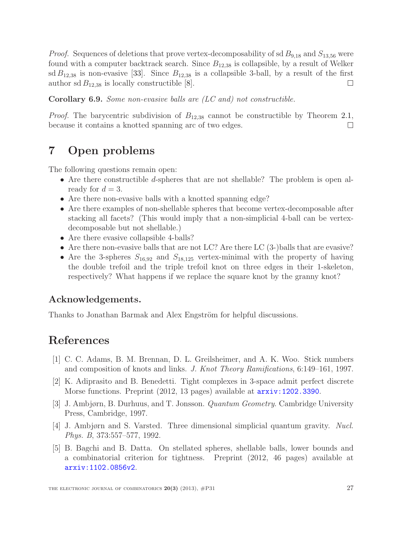*Proof.* Sequences of deletions that prove vertex-decomposability of sd  $B_{9,18}$  and  $S_{13,56}$  were found with a computer backtrack search. Since  $B_{12,38}$  is collapsible, by a result of Welker sd  $B_{12,38}$  is non-evasive [\[33\]](#page-28-6). Since  $B_{12,38}$  is a collapsible 3-ball, by a result of the first author sd  $B_{12,38}$  is locally constructible [\[8\]](#page-27-2).  $\Box$ 

Corollary 6.9. Some non-evasive balls are (LC and) not constructible.

*Proof.* The barycentric subdivision of  $B_{12,38}$  cannot be constructible by Theorem [2.1,](#page-7-0) because it contains a knotted spanning arc of two edges.  $\Box$ 

# 7 Open problems

The following questions remain open:

- Are there constructible d-spheres that are not shellable? The problem is open already for  $d = 3$ .
- Are there non-evasive balls with a knotted spanning edge?
- Are there examples of non-shellable spheres that become vertex-decomposable after stacking all facets? (This would imply that a non-simplicial 4-ball can be vertexdecomposable but not shellable.)
- Are there evasive collapsible 4-balls?
- Are there non-evasive balls that are not LC? Are there LC (3-)balls that are evasive?
- Are the 3-spheres  $S_{16,92}$  and  $S_{18,125}$  vertex-minimal with the property of having the double trefoil and the triple trefoil knot on three edges in their 1-skeleton, respectively? What happens if we replace the square knot by the granny knot?

#### Acknowledgements.

Thanks to Jonathan Barmak and Alex Engström for helpful discussions.

### <span id="page-26-3"></span>References

- <span id="page-26-4"></span>[1] C. C. Adams, B. M. Brennan, D. L. Greilsheimer, and A. K. Woo. Stick numbers and composition of knots and links. J. Knot Theory Ramifications, 6:149–161, 1997.
- [2] K. Adiprasito and B. Benedetti. Tight complexes in 3-space admit perfect discrete Morse functions. Preprint (2012, 13 pages) available at <arxiv:1202.3390>.
- <span id="page-26-2"></span><span id="page-26-1"></span>[3] J. Ambjørn, B. Durhuus, and T. Jonsson. Quantum Geometry. Cambridge University Press, Cambridge, 1997.
- <span id="page-26-0"></span>[4] J. Ambjørn and S. Varsted. Three dimensional simplicial quantum gravity. Nucl. Phys. B, 373:557–577, 1992.
- [5] B. Bagchi and B. Datta. On stellated spheres, shellable balls, lower bounds and a combinatorial criterion for tightness. Preprint (2012, 46 pages) available at <arxiv:1102.0856v2>.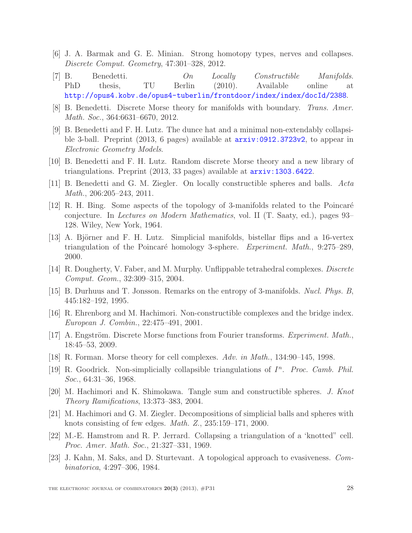- <span id="page-27-16"></span><span id="page-27-8"></span>[6] J. A. Barmak and G. E. Minian. Strong homotopy types, nerves and collapses. Discrete Comput. Geometry, 47:301–328, 2012.
- [7] B. Benedetti. On Locally Constructible Manifolds. PhD thesis, TU Berlin (2010). Available online at <http://opus4.kobv.de/opus4-tuberlin/frontdoor/index/index/docId/2388>.
- <span id="page-27-9"></span><span id="page-27-2"></span>[8] B. Benedetti. Discrete Morse theory for manifolds with boundary. Trans. Amer. Math. Soc., 364:6631–6670, 2012.
- [9] B. Benedetti and F. H. Lutz. The dunce hat and a minimal non-extendably collapsible 3-ball. Preprint (2013, 6 pages) available at <arxiv:0912.3723v2>, to appear in Electronic Geometry Models.
- <span id="page-27-17"></span><span id="page-27-5"></span>[10] B. Benedetti and F. H. Lutz. Random discrete Morse theory and a new library of triangulations. Preprint (2013, 33 pages) available at <arxiv:1303.6422>.
- <span id="page-27-0"></span>[11] B. Benedetti and G. M. Ziegler. On locally constructible spheres and balls. Acta Math., 206:205–243, 2011.
- [12] R. H. Bing. Some aspects of the topology of 3-manifolds related to the Poincaré conjecture. In Lectures on Modern Mathematics, vol. II (T. Saaty, ed.), pages 93– 128. Wiley, New York, 1964.
- <span id="page-27-6"></span>[13] A. Björner and F. H. Lutz. Simplicial manifolds, bistellar flips and a 16-vertex triangulation of the Poincaré homology 3-sphere. Experiment. Math.,  $9:275-289$ , 2000.
- <span id="page-27-12"></span><span id="page-27-4"></span>[14] R. Dougherty, V. Faber, and M. Murphy. Unflippable tetrahedral complexes. Discrete Comput. Geom., 32:309–315, 2004.
- <span id="page-27-14"></span>[15] B. Durhuus and T. Jonsson. Remarks on the entropy of 3-manifolds. Nucl. Phys. B, 445:182–192, 1995.
- <span id="page-27-11"></span>[16] R. Ehrenborg and M. Hachimori. Non-constructible complexes and the bridge index. European J. Combin., 22:475–491, 2001.
- <span id="page-27-13"></span>[17] A. Engström. Discrete Morse functions from Fourier transforms. *Experiment. Math.*, 18:45–53, 2009.
- <span id="page-27-1"></span>[18] R. Forman. Morse theory for cell complexes. Adv. in Math., 134:90–145, 1998.
- [19] R. Goodrick. Non-simplicially collapsible triangulations of  $I<sup>n</sup>$ . Proc. Camb. Phil. Soc., 64:31–36, 1968.
- <span id="page-27-15"></span><span id="page-27-3"></span>[20] M. Hachimori and K. Shimokawa. Tangle sum and constructible spheres. J. Knot Theory Ramifications, 13:373–383, 2004.
- [21] M. Hachimori and G. M. Ziegler. Decompositions of simplicial balls and spheres with knots consisting of few edges. Math. Z., 235:159–171, 2000.
- <span id="page-27-10"></span>[22] M.-E. Hamstrom and R. P. Jerrard. Collapsing a triangulation of a 'knotted" cell. Proc. Amer. Math. Soc., 21:327–331, 1969.
- <span id="page-27-7"></span>[23] J. Kahn, M. Saks, and D. Sturtevant. A topological approach to evasiveness. Combinatorica, 4:297–306, 1984.